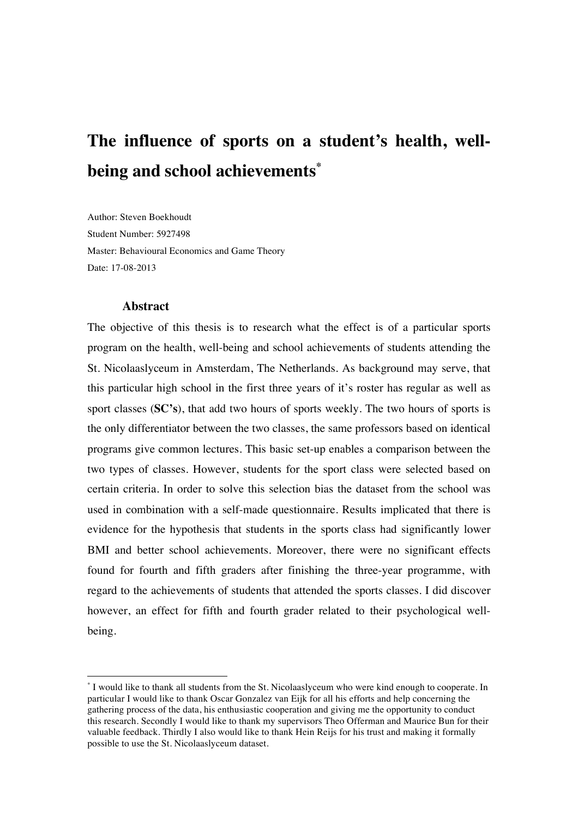# **The influence of sports on a student's health, wellbeing and school achievements\***

Author: Steven Boekhoudt Student Number: 5927498 Master: Behavioural Economics and Game Theory Date: 17-08-2013

#### **Abstract**

!!!!!!!!!!!!!!!!!!!!!!!!!!!!!!!!!!!!!!!!!!!!!!!!!!!!!!!

The objective of this thesis is to research what the effect is of a particular sports program on the health, well-being and school achievements of students attending the St. Nicolaaslyceum in Amsterdam, The Netherlands. As background may serve, that this particular high school in the first three years of it's roster has regular as well as sport classes (**SC's**), that add two hours of sports weekly. The two hours of sports is the only differentiator between the two classes, the same professors based on identical programs give common lectures. This basic set-up enables a comparison between the two types of classes. However, students for the sport class were selected based on certain criteria. In order to solve this selection bias the dataset from the school was used in combination with a self-made questionnaire. Results implicated that there is evidence for the hypothesis that students in the sports class had significantly lower BMI and better school achievements. Moreover, there were no significant effects found for fourth and fifth graders after finishing the three-year programme, with regard to the achievements of students that attended the sports classes. I did discover however, an effect for fifth and fourth grader related to their psychological wellbeing.

<sup>\*</sup> I would like to thank all students from the St. Nicolaaslyceum who were kind enough to cooperate. In particular I would like to thank Oscar Gonzalez van Eijk for all his efforts and help concerning the gathering process of the data, his enthusiastic cooperation and giving me the opportunity to conduct this research. Secondly I would like to thank my supervisors Theo Offerman and Maurice Bun for their valuable feedback. Thirdly I also would like to thank Hein Reijs for his trust and making it formally possible to use the St. Nicolaaslyceum dataset.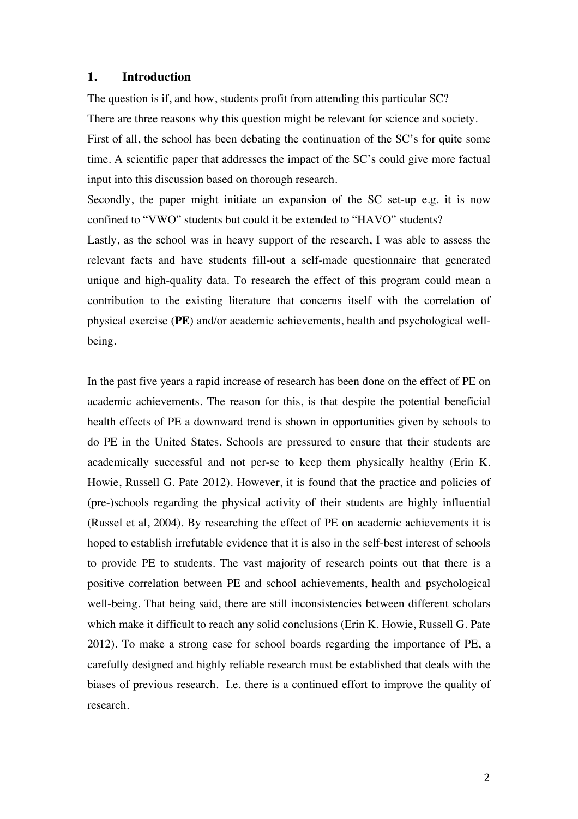### **1. Introduction**

The question is if, and how, students profit from attending this particular SC?

There are three reasons why this question might be relevant for science and society.

First of all, the school has been debating the continuation of the SC's for quite some time. A scientific paper that addresses the impact of the SC's could give more factual input into this discussion based on thorough research.

Secondly, the paper might initiate an expansion of the SC set-up e.g. it is now confined to "VWO" students but could it be extended to "HAVO" students?

Lastly, as the school was in heavy support of the research, I was able to assess the relevant facts and have students fill-out a self-made questionnaire that generated unique and high-quality data. To research the effect of this program could mean a contribution to the existing literature that concerns itself with the correlation of physical exercise (**PE**) and/or academic achievements, health and psychological wellbeing.

In the past five years a rapid increase of research has been done on the effect of PE on academic achievements. The reason for this, is that despite the potential beneficial health effects of PE a downward trend is shown in opportunities given by schools to do PE in the United States. Schools are pressured to ensure that their students are academically successful and not per-se to keep them physically healthy (Erin K. Howie, Russell G. Pate 2012). However, it is found that the practice and policies of (pre-)schools regarding the physical activity of their students are highly influential (Russel et al, 2004). By researching the effect of PE on academic achievements it is hoped to establish irrefutable evidence that it is also in the self-best interest of schools to provide PE to students. The vast majority of research points out that there is a positive correlation between PE and school achievements, health and psychological well-being. That being said, there are still inconsistencies between different scholars which make it difficult to reach any solid conclusions (Erin K. Howie, Russell G. Pate 2012). To make a strong case for school boards regarding the importance of PE, a carefully designed and highly reliable research must be established that deals with the biases of previous research. I.e. there is a continued effort to improve the quality of research.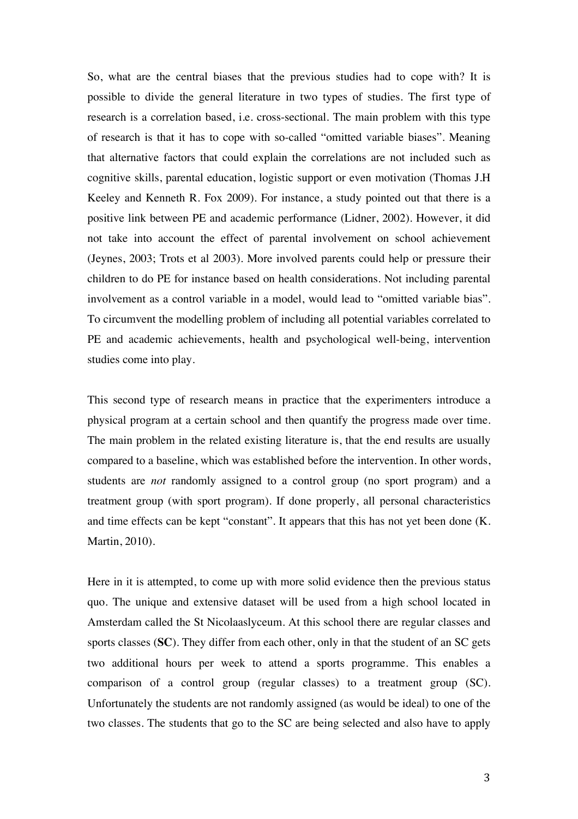So, what are the central biases that the previous studies had to cope with? It is possible to divide the general literature in two types of studies. The first type of research is a correlation based, i.e. cross-sectional. The main problem with this type of research is that it has to cope with so-called "omitted variable biases". Meaning that alternative factors that could explain the correlations are not included such as cognitive skills, parental education, logistic support or even motivation (Thomas J.H Keeley and Kenneth R. Fox 2009). For instance, a study pointed out that there is a positive link between PE and academic performance (Lidner, 2002). However, it did not take into account the effect of parental involvement on school achievement (Jeynes, 2003; Trots et al 2003). More involved parents could help or pressure their children to do PE for instance based on health considerations. Not including parental involvement as a control variable in a model, would lead to "omitted variable bias". To circumvent the modelling problem of including all potential variables correlated to PE and academic achievements, health and psychological well-being, intervention studies come into play.

This second type of research means in practice that the experimenters introduce a physical program at a certain school and then quantify the progress made over time. The main problem in the related existing literature is, that the end results are usually compared to a baseline, which was established before the intervention. In other words, students are *not* randomly assigned to a control group (no sport program) and a treatment group (with sport program). If done properly, all personal characteristics and time effects can be kept "constant". It appears that this has not yet been done (K. Martin, 2010).

Here in it is attempted, to come up with more solid evidence then the previous status quo. The unique and extensive dataset will be used from a high school located in Amsterdam called the St Nicolaaslyceum. At this school there are regular classes and sports classes (**SC**). They differ from each other, only in that the student of an SC gets two additional hours per week to attend a sports programme. This enables a comparison of a control group (regular classes) to a treatment group (SC). Unfortunately the students are not randomly assigned (as would be ideal) to one of the two classes. The students that go to the SC are being selected and also have to apply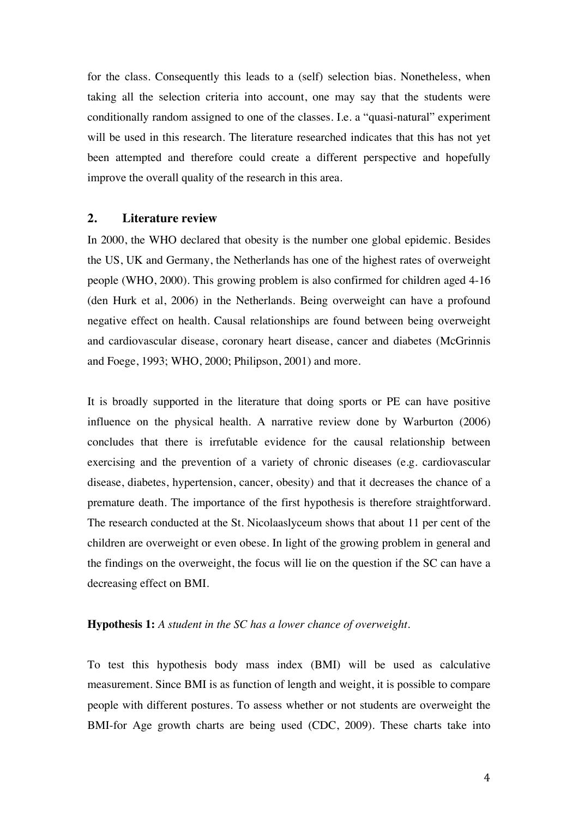for the class. Consequently this leads to a (self) selection bias. Nonetheless, when taking all the selection criteria into account, one may say that the students were conditionally random assigned to one of the classes. I.e. a "quasi-natural" experiment will be used in this research. The literature researched indicates that this has not yet been attempted and therefore could create a different perspective and hopefully improve the overall quality of the research in this area.

#### **2. Literature review**

In 2000, the WHO declared that obesity is the number one global epidemic. Besides the US, UK and Germany, the Netherlands has one of the highest rates of overweight people (WHO, 2000). This growing problem is also confirmed for children aged 4-16 (den Hurk et al, 2006) in the Netherlands. Being overweight can have a profound negative effect on health. Causal relationships are found between being overweight and cardiovascular disease, coronary heart disease, cancer and diabetes (McGrinnis and Foege, 1993; WHO, 2000; Philipson, 2001) and more.

It is broadly supported in the literature that doing sports or PE can have positive influence on the physical health. A narrative review done by Warburton (2006) concludes that there is irrefutable evidence for the causal relationship between exercising and the prevention of a variety of chronic diseases (e.g. cardiovascular disease, diabetes, hypertension, cancer, obesity) and that it decreases the chance of a premature death. The importance of the first hypothesis is therefore straightforward. The research conducted at the St. Nicolaaslyceum shows that about 11 per cent of the children are overweight or even obese. In light of the growing problem in general and the findings on the overweight, the focus will lie on the question if the SC can have a decreasing effect on BMI.

#### **Hypothesis 1:** *A student in the SC has a lower chance of overweight.*

To test this hypothesis body mass index (BMI) will be used as calculative measurement. Since BMI is as function of length and weight, it is possible to compare people with different postures. To assess whether or not students are overweight the BMI-for Age growth charts are being used (CDC, 2009). These charts take into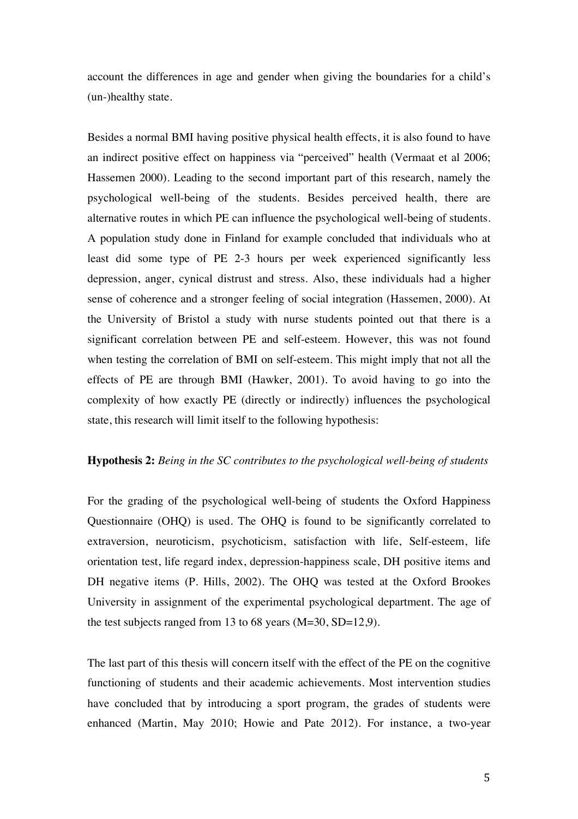account the differences in age and gender when giving the boundaries for a child's (un-)healthy state.

Besides a normal BMI having positive physical health effects, it is also found to have an indirect positive effect on happiness via "perceived" health (Vermaat et al 2006; Hassemen 2000). Leading to the second important part of this research, namely the psychological well-being of the students. Besides perceived health, there are alternative routes in which PE can influence the psychological well-being of students. A population study done in Finland for example concluded that individuals who at least did some type of PE 2-3 hours per week experienced significantly less depression, anger, cynical distrust and stress. Also, these individuals had a higher sense of coherence and a stronger feeling of social integration (Hassemen, 2000). At the University of Bristol a study with nurse students pointed out that there is a significant correlation between PE and self-esteem. However, this was not found when testing the correlation of BMI on self-esteem. This might imply that not all the effects of PE are through BMI (Hawker, 2001). To avoid having to go into the complexity of how exactly PE (directly or indirectly) influences the psychological state, this research will limit itself to the following hypothesis:

#### **Hypothesis 2:** *Being in the SC contributes to the psychological well-being of students*

For the grading of the psychological well-being of students the Oxford Happiness Questionnaire (OHQ) is used. The OHQ is found to be significantly correlated to extraversion, neuroticism, psychoticism, satisfaction with life, Self-esteem, life orientation test, life regard index, depression-happiness scale, DH positive items and DH negative items (P. Hills, 2002). The OHQ was tested at the Oxford Brookes University in assignment of the experimental psychological department. The age of the test subjects ranged from 13 to 68 years  $(M=30, SD=12.9)$ .

The last part of this thesis will concern itself with the effect of the PE on the cognitive functioning of students and their academic achievements. Most intervention studies have concluded that by introducing a sport program, the grades of students were enhanced (Martin, May 2010; Howie and Pate 2012). For instance, a two-year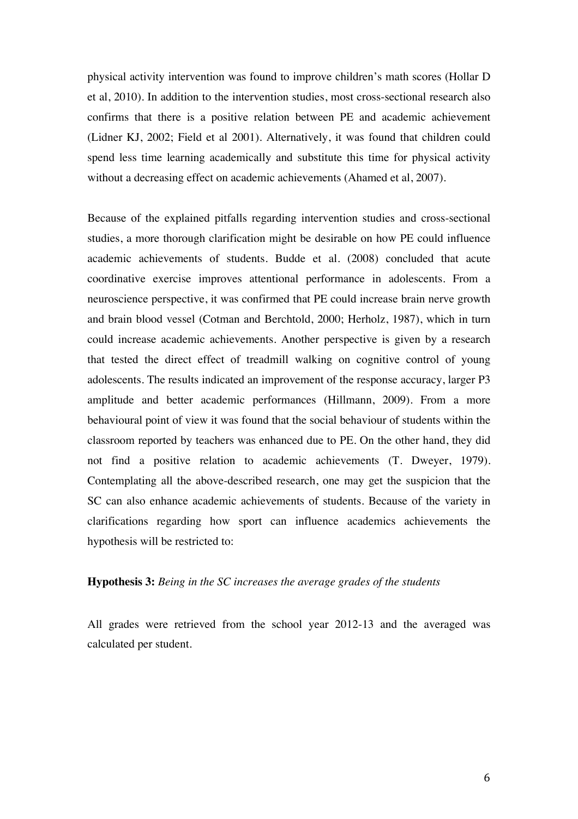physical activity intervention was found to improve children's math scores (Hollar D et al, 2010). In addition to the intervention studies, most cross-sectional research also confirms that there is a positive relation between PE and academic achievement (Lidner KJ, 2002; Field et al 2001). Alternatively, it was found that children could spend less time learning academically and substitute this time for physical activity without a decreasing effect on academic achievements (Ahamed et al, 2007).

Because of the explained pitfalls regarding intervention studies and cross-sectional studies, a more thorough clarification might be desirable on how PE could influence academic achievements of students. Budde et al. (2008) concluded that acute coordinative exercise improves attentional performance in adolescents. From a neuroscience perspective, it was confirmed that PE could increase brain nerve growth and brain blood vessel (Cotman and Berchtold, 2000; Herholz, 1987), which in turn could increase academic achievements. Another perspective is given by a research that tested the direct effect of treadmill walking on cognitive control of young adolescents. The results indicated an improvement of the response accuracy, larger P3 amplitude and better academic performances (Hillmann, 2009). From a more behavioural point of view it was found that the social behaviour of students within the classroom reported by teachers was enhanced due to PE. On the other hand, they did not find a positive relation to academic achievements (T. Dweyer, 1979). Contemplating all the above-described research, one may get the suspicion that the SC can also enhance academic achievements of students. Because of the variety in clarifications regarding how sport can influence academics achievements the hypothesis will be restricted to:

#### **Hypothesis 3:** *Being in the SC increases the average grades of the students*

All grades were retrieved from the school year 2012-13 and the averaged was calculated per student.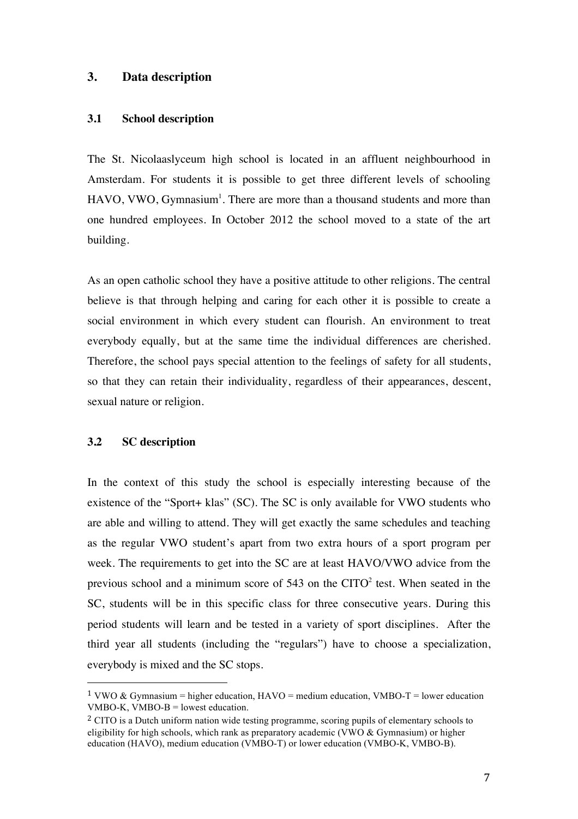#### **3. Data description**

#### **3.1 School description**

The St. Nicolaaslyceum high school is located in an affluent neighbourhood in Amsterdam. For students it is possible to get three different levels of schooling  $HAVO$ , VWO, Gymnasium<sup>1</sup>. There are more than a thousand students and more than one hundred employees. In October 2012 the school moved to a state of the art building.

As an open catholic school they have a positive attitude to other religions. The central believe is that through helping and caring for each other it is possible to create a social environment in which every student can flourish. An environment to treat everybody equally, but at the same time the individual differences are cherished. Therefore, the school pays special attention to the feelings of safety for all students, so that they can retain their individuality, regardless of their appearances, descent, sexual nature or religion.

#### **3.2 SC description**

!!!!!!!!!!!!!!!!!!!!!!!!!!!!!!!!!!!!!!!!!!!!!!!!!!!!!!!

In the context of this study the school is especially interesting because of the existence of the "Sport+ klas" (SC). The SC is only available for VWO students who are able and willing to attend. They will get exactly the same schedules and teaching as the regular VWO student's apart from two extra hours of a sport program per week. The requirements to get into the SC are at least HAVO/VWO advice from the previous school and a minimum score of 543 on the  $CITO<sup>2</sup>$  test. When seated in the SC, students will be in this specific class for three consecutive years. During this period students will learn and be tested in a variety of sport disciplines. After the third year all students (including the "regulars") have to choose a specialization, everybody is mixed and the SC stops.

<sup>&</sup>lt;sup>1</sup> VWO & Gymnasium = higher education, HAVO = medium education, VMBO-T = lower education VMBO-K, VMBO-B = lowest education.

<sup>&</sup>lt;sup>2</sup> CITO is a Dutch uniform nation wide testing programme, scoring pupils of elementary schools to eligibility for high schools, which rank as preparatory academic (VWO & Gymnasium) or higher education (HAVO), medium education (VMBO-T) or lower education (VMBO-K, VMBO-B).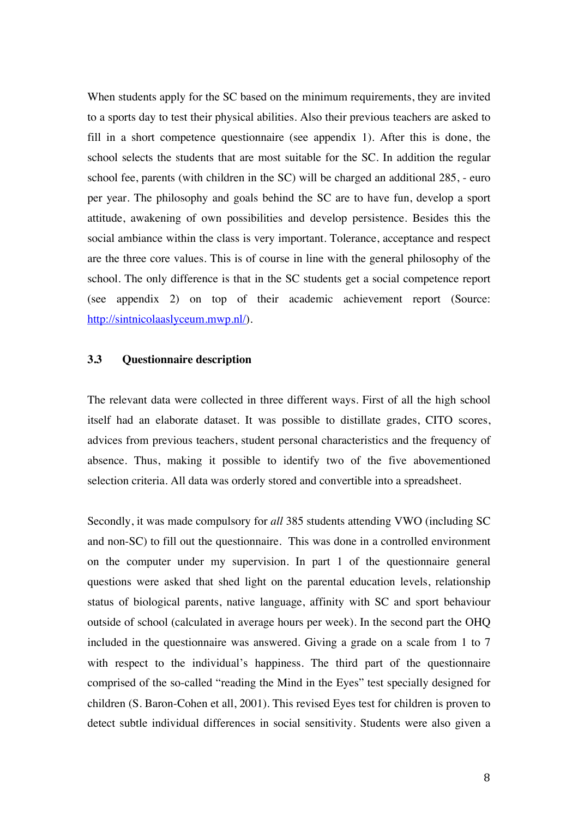When students apply for the SC based on the minimum requirements, they are invited to a sports day to test their physical abilities. Also their previous teachers are asked to fill in a short competence questionnaire (see appendix 1). After this is done, the school selects the students that are most suitable for the SC. In addition the regular school fee, parents (with children in the SC) will be charged an additional 285, - euro per year. The philosophy and goals behind the SC are to have fun, develop a sport attitude, awakening of own possibilities and develop persistence. Besides this the social ambiance within the class is very important. Tolerance, acceptance and respect are the three core values. This is of course in line with the general philosophy of the school. The only difference is that in the SC students get a social competence report (see appendix 2) on top of their academic achievement report (Source: http://sintnicolaaslyceum.mwp.nl/).

#### **3.3 Questionnaire description**

The relevant data were collected in three different ways. First of all the high school itself had an elaborate dataset. It was possible to distillate grades, CITO scores, advices from previous teachers, student personal characteristics and the frequency of absence. Thus, making it possible to identify two of the five abovementioned selection criteria. All data was orderly stored and convertible into a spreadsheet.

Secondly, it was made compulsory for *all* 385 students attending VWO (including SC and non-SC) to fill out the questionnaire. This was done in a controlled environment on the computer under my supervision. In part 1 of the questionnaire general questions were asked that shed light on the parental education levels, relationship status of biological parents, native language, affinity with SC and sport behaviour outside of school (calculated in average hours per week). In the second part the OHQ included in the questionnaire was answered. Giving a grade on a scale from 1 to 7 with respect to the individual's happiness. The third part of the questionnaire comprised of the so-called "reading the Mind in the Eyes" test specially designed for children (S. Baron-Cohen et all, 2001). This revised Eyes test for children is proven to detect subtle individual differences in social sensitivity. Students were also given a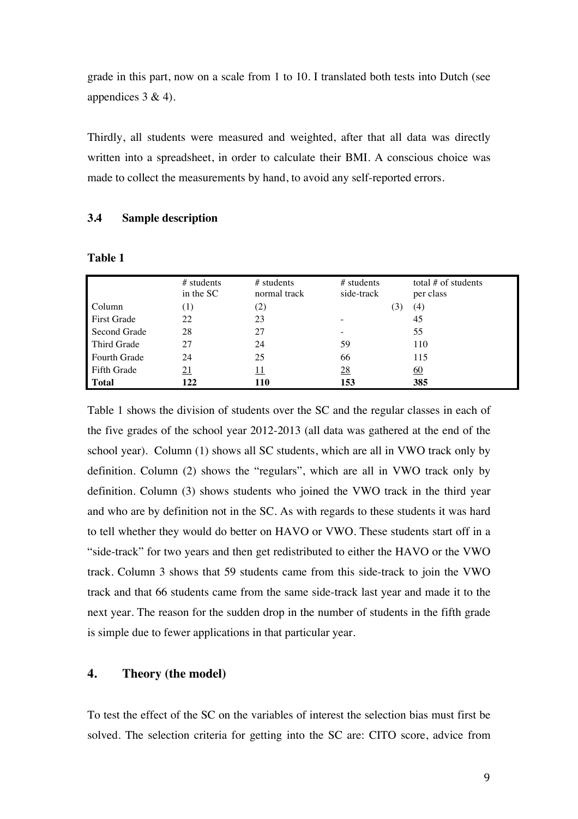grade in this part, now on a scale from 1 to 10. I translated both tests into Dutch (see appendices  $3 & 4$ ).

Thirdly, all students were measured and weighted, after that all data was directly written into a spreadsheet, in order to calculate their BMI. A conscious choice was made to collect the measurements by hand, to avoid any self-reported errors.

#### **3.4 Sample description**

|                     | $#$ students<br>in the SC | $#$ students<br>normal track | $#$ students<br>side-track | total $#$ of students<br>per class |
|---------------------|---------------------------|------------------------------|----------------------------|------------------------------------|
| Column              |                           | (2)                          | $\mathfrak{I}$             | (4)                                |
| <b>First Grade</b>  | 22                        | 23                           |                            | 45                                 |
| Second Grade        | 28                        | 27                           |                            | 55                                 |
| Third Grade         | 27                        | 24                           | 59                         | 110                                |
| <b>Fourth Grade</b> | 24                        | 25                           | 66                         | 115                                |
| <b>Fifth Grade</b>  | <u>21</u>                 | <u> 11</u>                   | $\overline{28}$            | <u>60</u>                          |
| <b>Total</b>        | 122                       | 110                          | 153                        | 385                                |

**Table 1**

Table 1 shows the division of students over the SC and the regular classes in each of the five grades of the school year 2012-2013 (all data was gathered at the end of the school year). Column (1) shows all SC students, which are all in VWO track only by definition. Column (2) shows the "regulars", which are all in VWO track only by definition. Column (3) shows students who joined the VWO track in the third year and who are by definition not in the SC. As with regards to these students it was hard to tell whether they would do better on HAVO or VWO. These students start off in a "side-track" for two years and then get redistributed to either the HAVO or the VWO track. Column 3 shows that 59 students came from this side-track to join the VWO track and that 66 students came from the same side-track last year and made it to the next year. The reason for the sudden drop in the number of students in the fifth grade is simple due to fewer applications in that particular year.

#### **4. Theory (the model)**

To test the effect of the SC on the variables of interest the selection bias must first be solved. The selection criteria for getting into the SC are: CITO score, advice from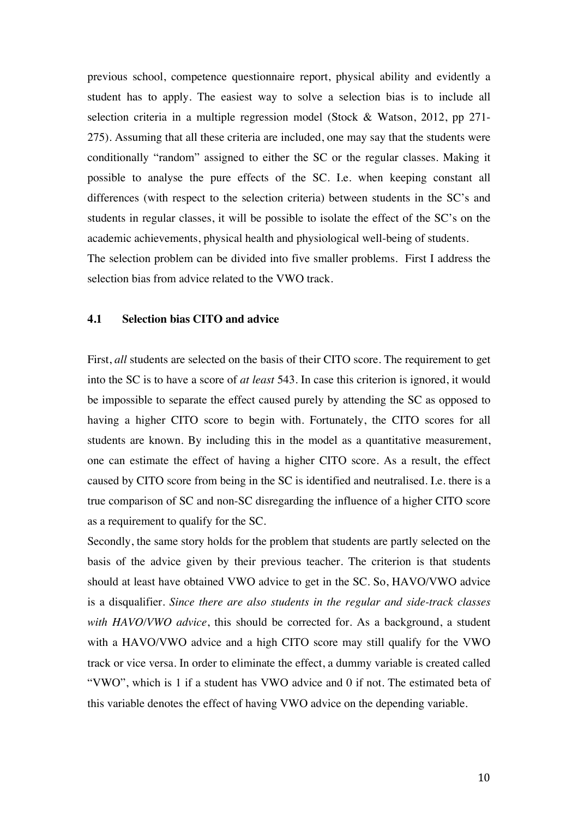previous school, competence questionnaire report, physical ability and evidently a student has to apply. The easiest way to solve a selection bias is to include all selection criteria in a multiple regression model (Stock & Watson, 2012, pp 271- 275). Assuming that all these criteria are included, one may say that the students were conditionally "random" assigned to either the SC or the regular classes. Making it possible to analyse the pure effects of the SC. I.e. when keeping constant all differences (with respect to the selection criteria) between students in the SC's and students in regular classes, it will be possible to isolate the effect of the SC's on the academic achievements, physical health and physiological well-being of students. The selection problem can be divided into five smaller problems. First I address the selection bias from advice related to the VWO track.

#### **4.1 Selection bias CITO and advice**

First, *all* students are selected on the basis of their CITO score. The requirement to get into the SC is to have a score of *at least* 543. In case this criterion is ignored, it would be impossible to separate the effect caused purely by attending the SC as opposed to having a higher CITO score to begin with. Fortunately, the CITO scores for all students are known. By including this in the model as a quantitative measurement, one can estimate the effect of having a higher CITO score. As a result, the effect caused by CITO score from being in the SC is identified and neutralised. I.e. there is a true comparison of SC and non-SC disregarding the influence of a higher CITO score as a requirement to qualify for the SC.

Secondly, the same story holds for the problem that students are partly selected on the basis of the advice given by their previous teacher. The criterion is that students should at least have obtained VWO advice to get in the SC. So, HAVO/VWO advice is a disqualifier. *Since there are also students in the regular and side-track classes with HAVO/VWO advice*, this should be corrected for. As a background, a student with a HAVO/VWO advice and a high CITO score may still qualify for the VWO track or vice versa. In order to eliminate the effect, a dummy variable is created called "VWO", which is 1 if a student has VWO advice and 0 if not. The estimated beta of this variable denotes the effect of having VWO advice on the depending variable.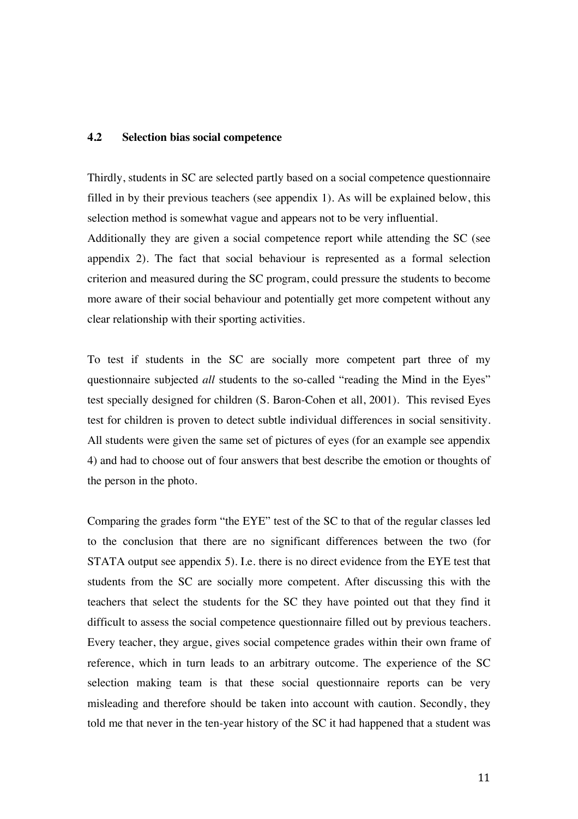#### **4.2 Selection bias social competence**

Thirdly, students in SC are selected partly based on a social competence questionnaire filled in by their previous teachers (see appendix 1). As will be explained below, this selection method is somewhat vague and appears not to be very influential.

Additionally they are given a social competence report while attending the SC (see appendix 2). The fact that social behaviour is represented as a formal selection criterion and measured during the SC program, could pressure the students to become more aware of their social behaviour and potentially get more competent without any clear relationship with their sporting activities.

To test if students in the SC are socially more competent part three of my questionnaire subjected *all* students to the so-called "reading the Mind in the Eyes" test specially designed for children (S. Baron-Cohen et all, 2001). This revised Eyes test for children is proven to detect subtle individual differences in social sensitivity. All students were given the same set of pictures of eyes (for an example see appendix 4) and had to choose out of four answers that best describe the emotion or thoughts of the person in the photo.

Comparing the grades form "the EYE" test of the SC to that of the regular classes led to the conclusion that there are no significant differences between the two (for STATA output see appendix 5). I.e. there is no direct evidence from the EYE test that students from the SC are socially more competent. After discussing this with the teachers that select the students for the SC they have pointed out that they find it difficult to assess the social competence questionnaire filled out by previous teachers. Every teacher, they argue, gives social competence grades within their own frame of reference, which in turn leads to an arbitrary outcome. The experience of the SC selection making team is that these social questionnaire reports can be very misleading and therefore should be taken into account with caution. Secondly, they told me that never in the ten-year history of the SC it had happened that a student was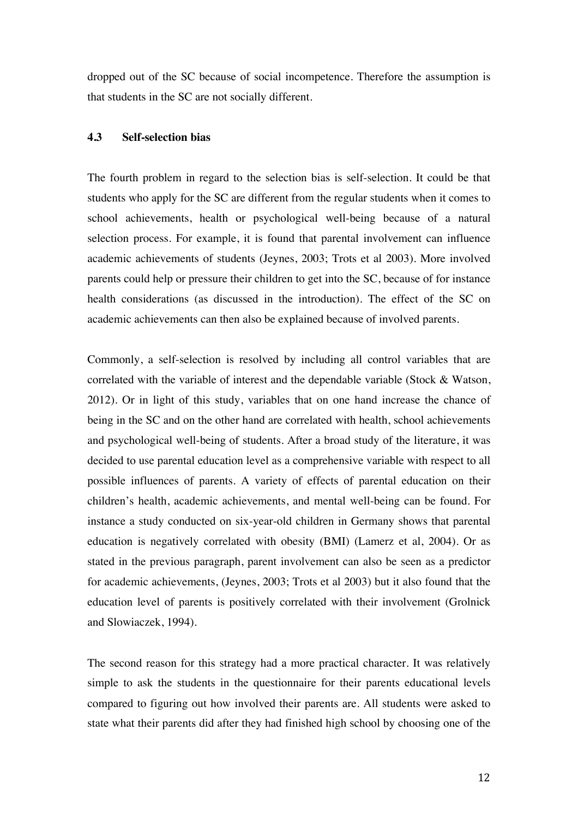dropped out of the SC because of social incompetence. Therefore the assumption is that students in the SC are not socially different.

#### **4.3 Self-selection bias**

The fourth problem in regard to the selection bias is self-selection. It could be that students who apply for the SC are different from the regular students when it comes to school achievements, health or psychological well-being because of a natural selection process. For example, it is found that parental involvement can influence academic achievements of students (Jeynes, 2003; Trots et al 2003). More involved parents could help or pressure their children to get into the SC, because of for instance health considerations (as discussed in the introduction). The effect of the SC on academic achievements can then also be explained because of involved parents.

Commonly, a self-selection is resolved by including all control variables that are correlated with the variable of interest and the dependable variable (Stock & Watson, 2012). Or in light of this study, variables that on one hand increase the chance of being in the SC and on the other hand are correlated with health, school achievements and psychological well-being of students. After a broad study of the literature, it was decided to use parental education level as a comprehensive variable with respect to all possible influences of parents. A variety of effects of parental education on their children's health, academic achievements, and mental well-being can be found. For instance a study conducted on six-year-old children in Germany shows that parental education is negatively correlated with obesity (BMI) (Lamerz et al, 2004). Or as stated in the previous paragraph, parent involvement can also be seen as a predictor for academic achievements, (Jeynes, 2003; Trots et al 2003) but it also found that the education level of parents is positively correlated with their involvement (Grolnick and Slowiaczek, 1994).

The second reason for this strategy had a more practical character. It was relatively simple to ask the students in the questionnaire for their parents educational levels compared to figuring out how involved their parents are. All students were asked to state what their parents did after they had finished high school by choosing one of the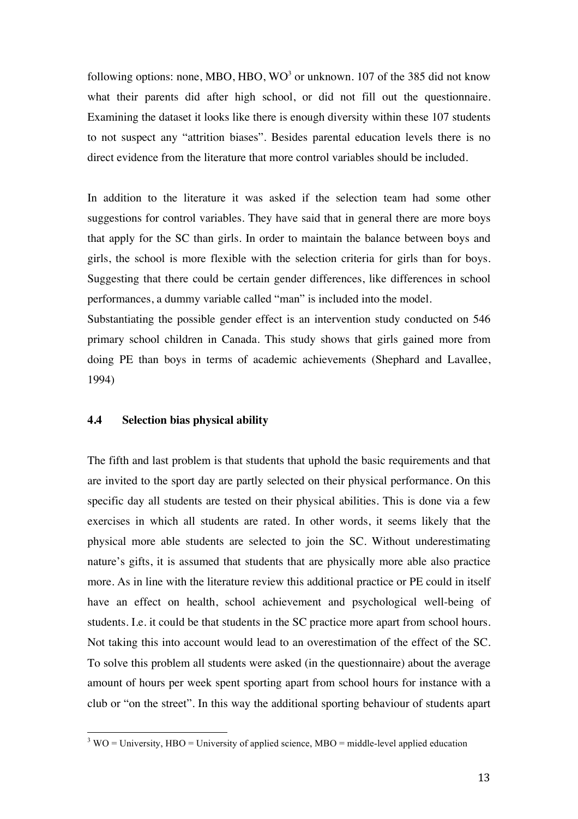following options: none, MBO, HBO, WO<sup>3</sup> or unknown. 107 of the 385 did not know what their parents did after high school, or did not fill out the questionnaire. Examining the dataset it looks like there is enough diversity within these 107 students to not suspect any "attrition biases". Besides parental education levels there is no direct evidence from the literature that more control variables should be included.

In addition to the literature it was asked if the selection team had some other suggestions for control variables. They have said that in general there are more boys that apply for the SC than girls. In order to maintain the balance between boys and girls, the school is more flexible with the selection criteria for girls than for boys. Suggesting that there could be certain gender differences, like differences in school performances, a dummy variable called "man" is included into the model.

Substantiating the possible gender effect is an intervention study conducted on 546 primary school children in Canada. This study shows that girls gained more from doing PE than boys in terms of academic achievements (Shephard and Lavallee, 1994)

#### **4.4 Selection bias physical ability**

The fifth and last problem is that students that uphold the basic requirements and that are invited to the sport day are partly selected on their physical performance. On this specific day all students are tested on their physical abilities. This is done via a few exercises in which all students are rated. In other words, it seems likely that the physical more able students are selected to join the SC. Without underestimating nature's gifts, it is assumed that students that are physically more able also practice more. As in line with the literature review this additional practice or PE could in itself have an effect on health, school achievement and psychological well-being of students. I.e. it could be that students in the SC practice more apart from school hours. Not taking this into account would lead to an overestimation of the effect of the SC. To solve this problem all students were asked (in the questionnaire) about the average amount of hours per week spent sporting apart from school hours for instance with a club or "on the street". In this way the additional sporting behaviour of students apart

 $13 \text{WO} = \text{University}, \text{HBO} = \text{University}$  of applied science, MBO = middle-level applied education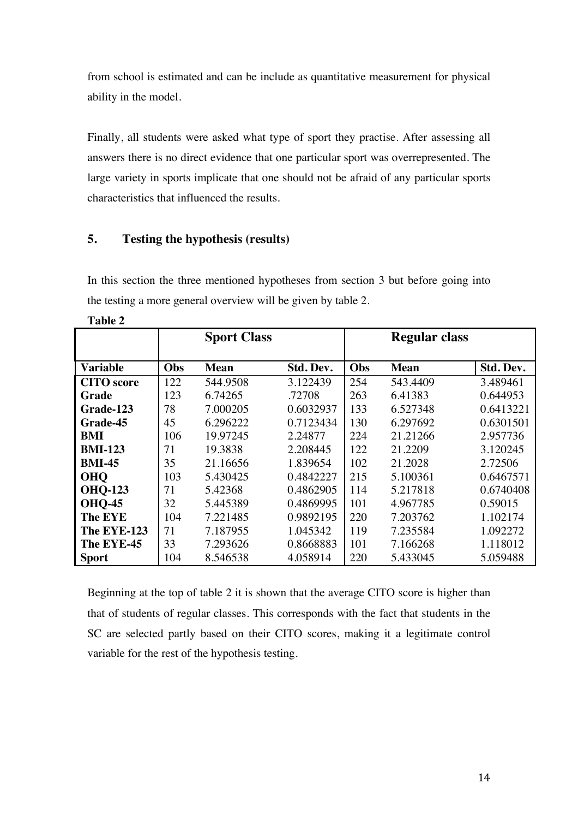from school is estimated and can be include as quantitative measurement for physical ability in the model.

Finally, all students were asked what type of sport they practise. After assessing all answers there is no direct evidence that one particular sport was overrepresented. The large variety in sports implicate that one should not be afraid of any particular sports characteristics that influenced the results.

## **5. Testing the hypothesis (results)**

In this section the three mentioned hypotheses from section 3 but before going into the testing a more general overview will be given by table 2.

|                   |     | <b>Sport Class</b> |           |     | <b>Regular class</b> |           |
|-------------------|-----|--------------------|-----------|-----|----------------------|-----------|
|                   |     |                    |           |     |                      |           |
| <b>Variable</b>   | Obs | <b>Mean</b>        | Std. Dev. | Obs | <b>Mean</b>          | Std. Dev. |
| <b>CITO</b> score | 122 | 544.9508           | 3.122439  | 254 | 543.4409             | 3.489461  |
| Grade             | 123 | 6.74265            | .72708    | 263 | 6.41383              | 0.644953  |
| Grade-123         | 78  | 7.000205           | 0.6032937 | 133 | 6.527348             | 0.6413221 |
| Grade-45          | 45  | 6.296222           | 0.7123434 | 130 | 6.297692             | 0.6301501 |
| BMI               | 106 | 19.97245           | 2.24877   | 224 | 21.21266             | 2.957736  |
| <b>BMI-123</b>    | 71  | 19.3838            | 2.208445  | 122 | 21.2209              | 3.120245  |
| <b>BMI-45</b>     | 35  | 21.16656           | 1.839654  | 102 | 21.2028              | 2.72506   |
| <b>OHO</b>        | 103 | 5.430425           | 0.4842227 | 215 | 5.100361             | 0.6467571 |
| <b>OHQ-123</b>    | 71  | 5.42368            | 0.4862905 | 114 | 5.217818             | 0.6740408 |
| <b>OHQ-45</b>     | 32  | 5.445389           | 0.4869995 | 101 | 4.967785             | 0.59015   |
| <b>The EYE</b>    | 104 | 7.221485           | 0.9892195 | 220 | 7.203762             | 1.102174  |
| The EYE-123       | 71  | 7.187955           | 1.045342  | 119 | 7.235584             | 1.092272  |
| The EYE-45        | 33  | 7.293626           | 0.8668883 | 101 | 7.166268             | 1.118012  |
| <b>Sport</b>      | 104 | 8.546538           | 4.058914  | 220 | 5.433045             | 5.059488  |

Beginning at the top of table 2 it is shown that the average CITO score is higher than that of students of regular classes. This corresponds with the fact that students in the SC are selected partly based on their CITO scores, making it a legitimate control variable for the rest of the hypothesis testing.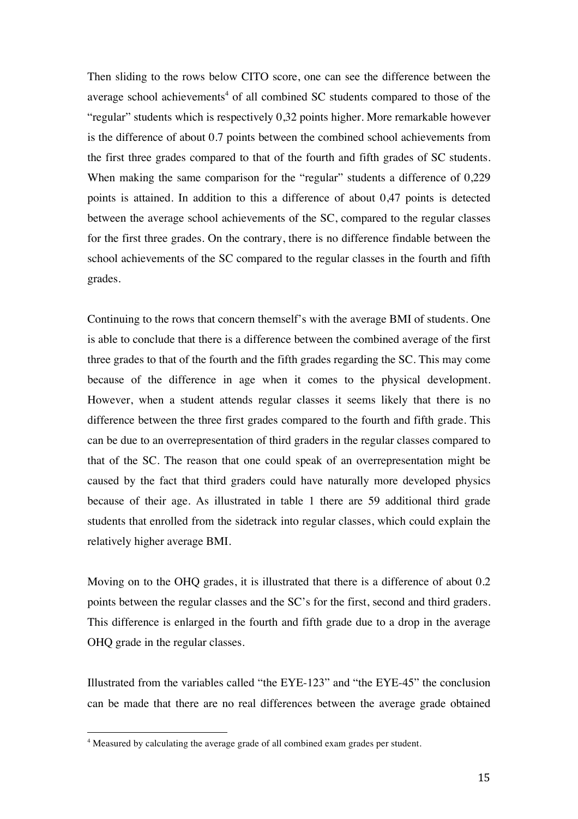Then sliding to the rows below CITO score, one can see the difference between the average school achievements<sup>4</sup> of all combined SC students compared to those of the "regular" students which is respectively 0,32 points higher. More remarkable however is the difference of about 0.7 points between the combined school achievements from the first three grades compared to that of the fourth and fifth grades of SC students. When making the same comparison for the "regular" students a difference of 0,229 points is attained. In addition to this a difference of about 0,47 points is detected between the average school achievements of the SC, compared to the regular classes for the first three grades. On the contrary, there is no difference findable between the school achievements of the SC compared to the regular classes in the fourth and fifth grades.

Continuing to the rows that concern themself's with the average BMI of students. One is able to conclude that there is a difference between the combined average of the first three grades to that of the fourth and the fifth grades regarding the SC. This may come because of the difference in age when it comes to the physical development. However, when a student attends regular classes it seems likely that there is no difference between the three first grades compared to the fourth and fifth grade. This can be due to an overrepresentation of third graders in the regular classes compared to that of the SC. The reason that one could speak of an overrepresentation might be caused by the fact that third graders could have naturally more developed physics because of their age. As illustrated in table 1 there are 59 additional third grade students that enrolled from the sidetrack into regular classes, which could explain the relatively higher average BMI.

Moving on to the OHQ grades, it is illustrated that there is a difference of about 0.2 points between the regular classes and the SC's for the first, second and third graders. This difference is enlarged in the fourth and fifth grade due to a drop in the average OHQ grade in the regular classes.

Illustrated from the variables called "the EYE-123" and "the EYE-45" the conclusion can be made that there are no real differences between the average grade obtained

a Measured by calculating the average grade of all combined exam grades per student.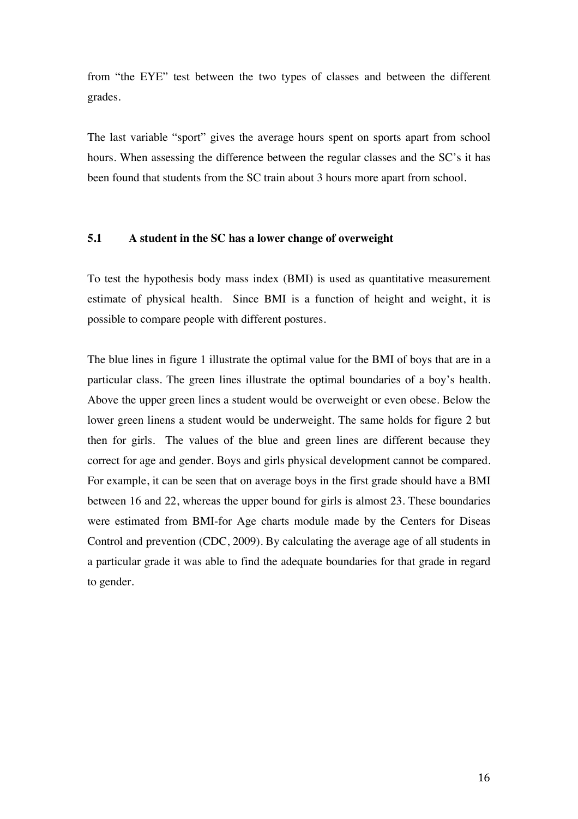from "the EYE" test between the two types of classes and between the different grades.

The last variable "sport" gives the average hours spent on sports apart from school hours. When assessing the difference between the regular classes and the SC's it has been found that students from the SC train about 3 hours more apart from school.

#### **5.1 A student in the SC has a lower change of overweight**

To test the hypothesis body mass index (BMI) is used as quantitative measurement estimate of physical health. Since BMI is a function of height and weight, it is possible to compare people with different postures.

The blue lines in figure 1 illustrate the optimal value for the BMI of boys that are in a particular class. The green lines illustrate the optimal boundaries of a boy's health. Above the upper green lines a student would be overweight or even obese. Below the lower green linens a student would be underweight. The same holds for figure 2 but then for girls. The values of the blue and green lines are different because they correct for age and gender. Boys and girls physical development cannot be compared. For example, it can be seen that on average boys in the first grade should have a BMI between 16 and 22, whereas the upper bound for girls is almost 23. These boundaries were estimated from BMI-for Age charts module made by the Centers for Diseas Control and prevention (CDC, 2009). By calculating the average age of all students in a particular grade it was able to find the adequate boundaries for that grade in regard to gender.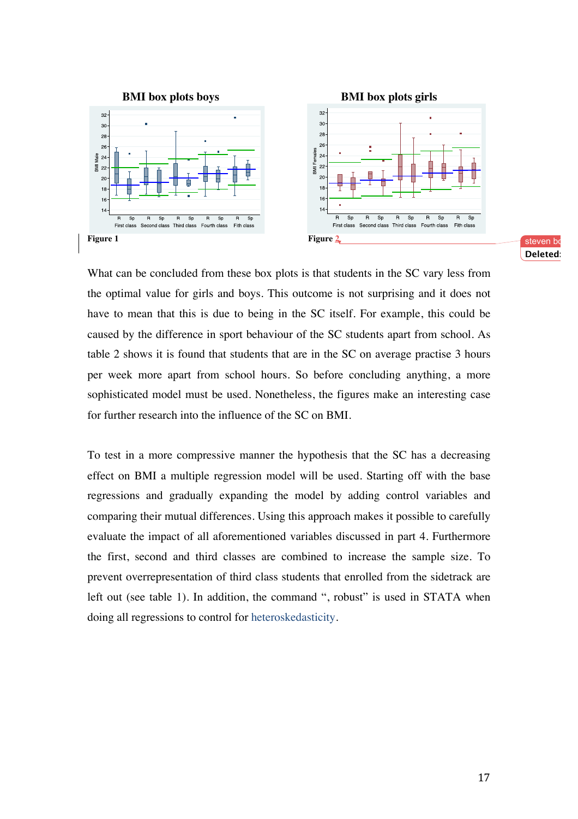

steven bo **Deleted: 3**

What can be concluded from these box plots is that students in the SC vary less from the optimal value for girls and boys. This outcome is not surprising and it does not have to mean that this is due to being in the SC itself. For example, this could be caused by the difference in sport behaviour of the SC students apart from school. As table 2 shows it is found that students that are in the SC on average practise 3 hours per week more apart from school hours. So before concluding anything, a more sophisticated model must be used. Nonetheless, the figures make an interesting case for further research into the influence of the SC on BMI.

To test in a more compressive manner the hypothesis that the SC has a decreasing effect on BMI a multiple regression model will be used. Starting off with the base regressions and gradually expanding the model by adding control variables and comparing their mutual differences. Using this approach makes it possible to carefully evaluate the impact of all aforementioned variables discussed in part 4. Furthermore the first, second and third classes are combined to increase the sample size. To prevent overrepresentation of third class students that enrolled from the sidetrack are left out (see table 1). In addition, the command ", robust" is used in STATA when doing all regressions to control for heteroskedasticity.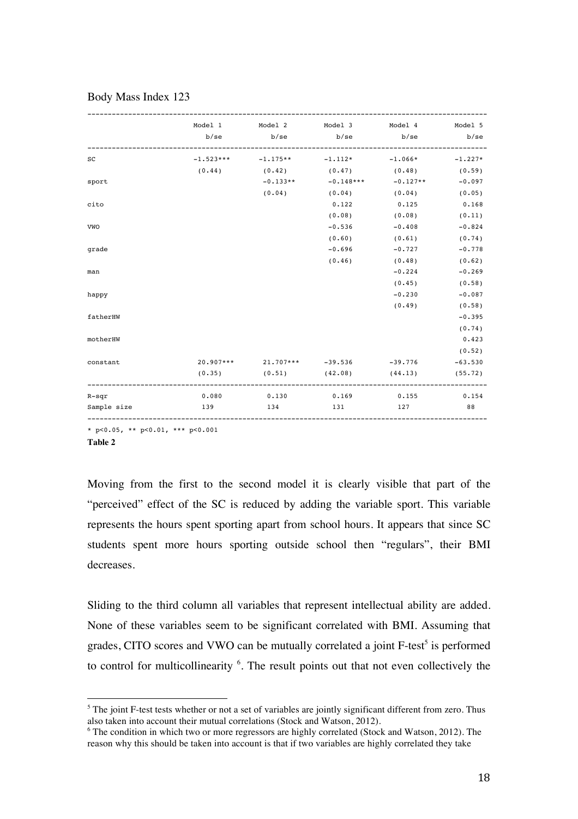| Model 1 Model 2 Model 3 Model 4 Model 5<br>$-1.523***$ $-1.175**$ $-1.112*$ $-1.066*$ $-1.227*$<br>$_{\rm sc}$<br>$(0.44)$ $(0.42)$ $(0.47)$ $(0.48)$ $(0.59)$<br>$-0.133**$ $-0.148***$ $-0.127**$<br>sport<br>$(0.04)$ $(0.04)$ $(0.04)$ $(0.05)$<br>0.125<br>cito<br>0.122<br>$(0.08)$ $(0.08)$ $(0.11)$<br>$-0.536$<br>VWO<br>$-0.408$<br>$(0.60)$ $(0.61)$<br>$-0.696$ $-0.727$<br>grade<br>(0.46)<br>$(0.48)$ $(0.62)$<br>$-0.224$<br>man<br>(0.45)<br>$-0.230$<br>happy<br>(0.49)<br>fatherHW<br>motherHW<br>$20.907***$ 21.707*** -39.536 -39.776<br>constant<br>$(0.35)$ $(0.51)$ $(42.08)$ $(44.13)$ $(55.72)$<br>0.080<br>0.130<br>$0.169$ $0.155$ $0.154$<br>$R-sqr$<br>88<br>Sample size<br>131<br>127<br>139<br>134 |  |  |           |
|-----------------------------------------------------------------------------------------------------------------------------------------------------------------------------------------------------------------------------------------------------------------------------------------------------------------------------------------------------------------------------------------------------------------------------------------------------------------------------------------------------------------------------------------------------------------------------------------------------------------------------------------------------------------------------------------------------------------------------------|--|--|-----------|
|                                                                                                                                                                                                                                                                                                                                                                                                                                                                                                                                                                                                                                                                                                                                   |  |  |           |
|                                                                                                                                                                                                                                                                                                                                                                                                                                                                                                                                                                                                                                                                                                                                   |  |  |           |
|                                                                                                                                                                                                                                                                                                                                                                                                                                                                                                                                                                                                                                                                                                                                   |  |  |           |
|                                                                                                                                                                                                                                                                                                                                                                                                                                                                                                                                                                                                                                                                                                                                   |  |  |           |
|                                                                                                                                                                                                                                                                                                                                                                                                                                                                                                                                                                                                                                                                                                                                   |  |  | $-0.097$  |
|                                                                                                                                                                                                                                                                                                                                                                                                                                                                                                                                                                                                                                                                                                                                   |  |  |           |
|                                                                                                                                                                                                                                                                                                                                                                                                                                                                                                                                                                                                                                                                                                                                   |  |  | 0.168     |
|                                                                                                                                                                                                                                                                                                                                                                                                                                                                                                                                                                                                                                                                                                                                   |  |  |           |
|                                                                                                                                                                                                                                                                                                                                                                                                                                                                                                                                                                                                                                                                                                                                   |  |  | $-0.824$  |
|                                                                                                                                                                                                                                                                                                                                                                                                                                                                                                                                                                                                                                                                                                                                   |  |  | (0.74)    |
|                                                                                                                                                                                                                                                                                                                                                                                                                                                                                                                                                                                                                                                                                                                                   |  |  | $-0.778$  |
|                                                                                                                                                                                                                                                                                                                                                                                                                                                                                                                                                                                                                                                                                                                                   |  |  |           |
|                                                                                                                                                                                                                                                                                                                                                                                                                                                                                                                                                                                                                                                                                                                                   |  |  | $-0.269$  |
|                                                                                                                                                                                                                                                                                                                                                                                                                                                                                                                                                                                                                                                                                                                                   |  |  | (0.58)    |
|                                                                                                                                                                                                                                                                                                                                                                                                                                                                                                                                                                                                                                                                                                                                   |  |  | $-0.087$  |
|                                                                                                                                                                                                                                                                                                                                                                                                                                                                                                                                                                                                                                                                                                                                   |  |  | (0.58)    |
|                                                                                                                                                                                                                                                                                                                                                                                                                                                                                                                                                                                                                                                                                                                                   |  |  | $-0.395$  |
|                                                                                                                                                                                                                                                                                                                                                                                                                                                                                                                                                                                                                                                                                                                                   |  |  | (0.74)    |
|                                                                                                                                                                                                                                                                                                                                                                                                                                                                                                                                                                                                                                                                                                                                   |  |  | 0.423     |
|                                                                                                                                                                                                                                                                                                                                                                                                                                                                                                                                                                                                                                                                                                                                   |  |  | (0.52)    |
|                                                                                                                                                                                                                                                                                                                                                                                                                                                                                                                                                                                                                                                                                                                                   |  |  | $-63.530$ |
|                                                                                                                                                                                                                                                                                                                                                                                                                                                                                                                                                                                                                                                                                                                                   |  |  |           |
|                                                                                                                                                                                                                                                                                                                                                                                                                                                                                                                                                                                                                                                                                                                                   |  |  |           |
|                                                                                                                                                                                                                                                                                                                                                                                                                                                                                                                                                                                                                                                                                                                                   |  |  |           |

#### Body Mass Index 123

\* p<0.05, \*\* p<0.01, \*\*\* p<0.001

!!!!!!!!!!!!!!!!!!!!!!!!!!!!!!!!!!!!!!!!!!!!!!!!!!!!!!!

**Table 2**

Moving from the first to the second model it is clearly visible that part of the "perceived" effect of the SC is reduced by adding the variable sport. This variable represents the hours spent sporting apart from school hours. It appears that since SC students spent more hours sporting outside school then "regulars", their BMI decreases.

Sliding to the third column all variables that represent intellectual ability are added. None of these variables seem to be significant correlated with BMI. Assuming that grades, CITO scores and VWO can be mutually correlated a joint F-test<sup>5</sup> is performed to control for multicollinearity <sup>6</sup>. The result points out that not even collectively the

 $<sup>5</sup>$  The joint F-test tests whether or not a set of variables are jointly significant different from zero. Thus</sup> also taken into account their mutual correlations (Stock and Watson, 2012).

<sup>&</sup>lt;sup>6</sup> The condition in which two or more regressors are highly correlated (Stock and Watson, 2012). The reason why this should be taken into account is that if two variables are highly correlated they take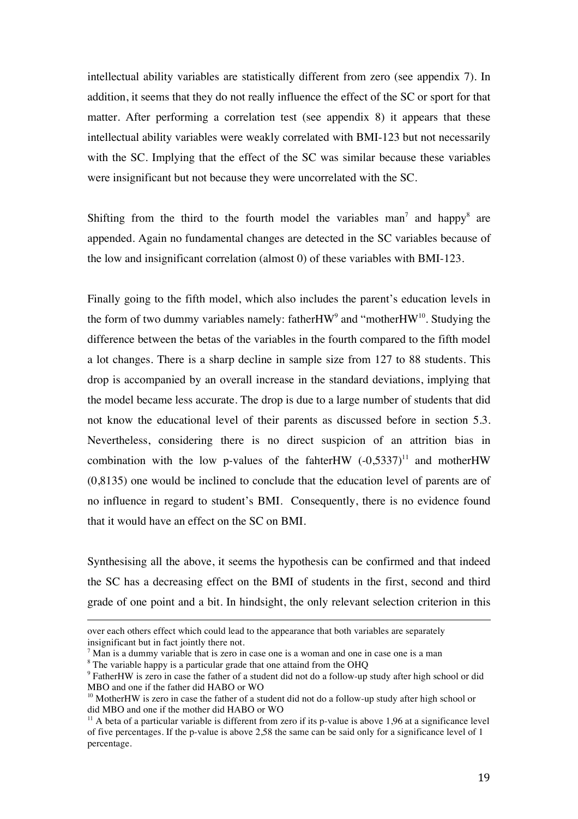intellectual ability variables are statistically different from zero (see appendix 7). In addition, it seems that they do not really influence the effect of the SC or sport for that matter. After performing a correlation test (see appendix 8) it appears that these intellectual ability variables were weakly correlated with BMI-123 but not necessarily with the SC. Implying that the effect of the SC was similar because these variables were insignificant but not because they were uncorrelated with the SC.

Shifting from the third to the fourth model the variables man<sup>7</sup> and happy<sup>8</sup> are appended. Again no fundamental changes are detected in the SC variables because of the low and insignificant correlation (almost 0) of these variables with BMI-123.

Finally going to the fifth model, which also includes the parent's education levels in the form of two dummy variables namely: father $HW^9$  and "mother $HW^{10}$ . Studying the difference between the betas of the variables in the fourth compared to the fifth model a lot changes. There is a sharp decline in sample size from 127 to 88 students. This drop is accompanied by an overall increase in the standard deviations, implying that the model became less accurate. The drop is due to a large number of students that did not know the educational level of their parents as discussed before in section 5.3. Nevertheless, considering there is no direct suspicion of an attrition bias in combination with the low p-values of the fahterHW  $(-0.5337)^{11}$  and motherHW (0,8135) one would be inclined to conclude that the education level of parents are of no influence in regard to student's BMI. Consequently, there is no evidence found that it would have an effect on the SC on BMI.

Synthesising all the above, it seems the hypothesis can be confirmed and that indeed the SC has a decreasing effect on the BMI of students in the first, second and third grade of one point and a bit. In hindsight, the only relevant selection criterion in this

!!!!!!!!!!!!!!!!!!!!!!!!!!!!!!!!!!!!!!!!!!!!!!!!!!!!!!!!!!!!!!!!!!!!!!!!!!!!!!!!!!!!!!!!!!!!!!!!!!!!!!!!!!!!!!!!!!!!!!!!!!!!!!!!!!!!!!!!!!!!!!!!!!!!!!!!!!!!!!

over each others effect which could lead to the appearance that both variables are separately insignificant but in fact jointly there not.

 $<sup>7</sup>$  Man is a dummy variable that is zero in case one is a woman and one in case one is a man</sup>

<sup>&</sup>lt;sup>8</sup> The variable happy is a particular grade that one attaind from the OHQ

<sup>&</sup>lt;sup>9</sup> FatherHW is zero in case the father of a student did not do a follow-up study after high school or did MBO and one if the father did HABO or WO

<sup>&</sup>lt;sup>10</sup> MotherHW is zero in case the father of a student did not do a follow-up study after high school or did MBO and one if the mother did HABO or WO

 $11$  A beta of a particular variable is different from zero if its p-value is above 1,96 at a significance level of five percentages. If the p-value is above 2,58 the same can be said only for a significance level of 1 percentage.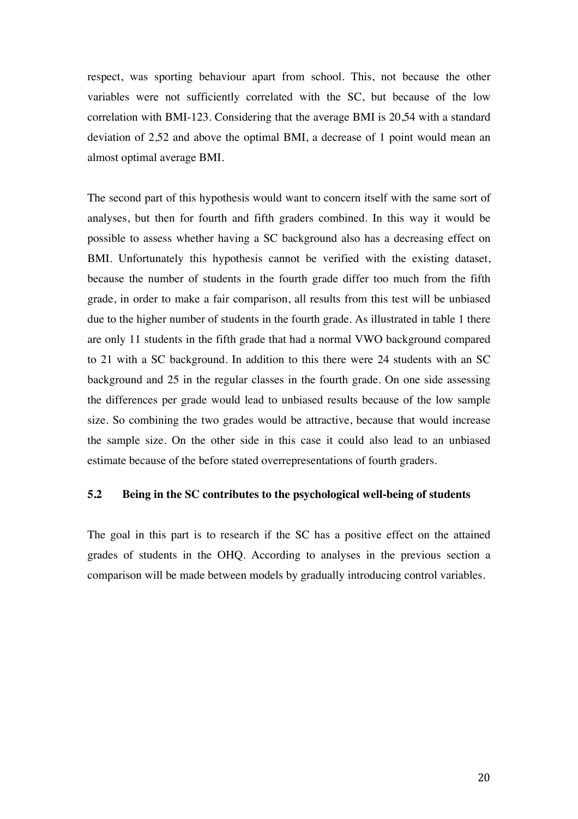respect, was sporting behaviour apart from school. This, not because the other variables were not sufficiently correlated with the SC, but because of the low correlation with BMI-123. Considering that the average BMI is 20,54 with a standard deviation of 2,52 and above the optimal BMI, a decrease of 1 point would mean an almost optimal average BMI.

The second part of this hypothesis would want to concern itself with the same sort of analyses, but then for fourth and fifth graders combined. In this way it would be possible to assess whether having a SC background also has a decreasing effect on BMI. Unfortunately this hypothesis cannot be verified with the existing dataset, because the number of students in the fourth grade differ too much from the fifth grade, in order to make a fair comparison, all results from this test will be unbiased due to the higher number of students in the fourth grade. As illustrated in table 1 there are only 11 students in the fifth grade that had a normal VWO background compared to 21 with a SC background. In addition to this there were 24 students with an SC background and 25 in the regular classes in the fourth grade. On one side assessing the differences per grade would lead to unbiased results because of the low sample size. So combining the two grades would be attractive, because that would increase the sample size. On the other side in this case it could also lead to an unbiased estimate because of the before stated overrepresentations of fourth graders.

#### **5.2 Being in the SC contributes to the psychological well-being of students**

The goal in this part is to research if the SC has a positive effect on the attained grades of students in the OHQ. According to analyses in the previous section a comparison will be made between models by gradually introducing control variables.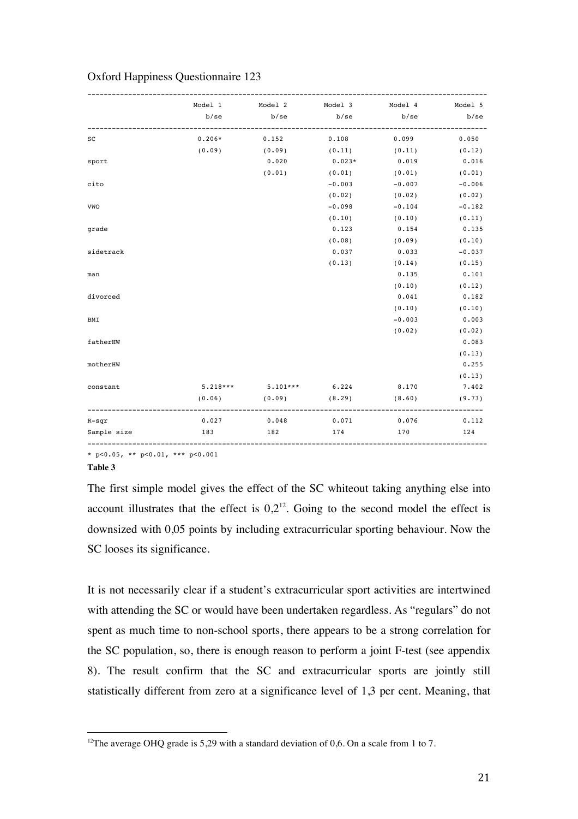|     | Model 1 Model 2 Model 3 Model 4 Model 5 |          |          |                                                                                                                                                                                                                                                                                                            |
|-----|-----------------------------------------|----------|----------|------------------------------------------------------------------------------------------------------------------------------------------------------------------------------------------------------------------------------------------------------------------------------------------------------------|
|     |                                         |          |          |                                                                                                                                                                                                                                                                                                            |
|     |                                         |          |          | b/se                                                                                                                                                                                                                                                                                                       |
|     |                                         |          |          | 0.050                                                                                                                                                                                                                                                                                                      |
|     |                                         |          |          |                                                                                                                                                                                                                                                                                                            |
|     | 0.020                                   | $0.023*$ | 0.019    | 0.016                                                                                                                                                                                                                                                                                                      |
|     | (0.01)                                  |          |          |                                                                                                                                                                                                                                                                                                            |
|     |                                         |          |          | $-0.006$                                                                                                                                                                                                                                                                                                   |
|     |                                         | (0.02)   | (0.02)   | (0.02)                                                                                                                                                                                                                                                                                                     |
|     |                                         |          |          | $-0.182$                                                                                                                                                                                                                                                                                                   |
|     |                                         | (0.10)   | (0.10)   | (0.11)                                                                                                                                                                                                                                                                                                     |
|     |                                         | 0.123    | 0.154    | 0.135                                                                                                                                                                                                                                                                                                      |
|     |                                         | (0.08)   |          | (0.10)                                                                                                                                                                                                                                                                                                     |
|     |                                         | 0.037    | 0.033    | $-0.037$                                                                                                                                                                                                                                                                                                   |
|     |                                         | (0.13)   |          | (0.15)                                                                                                                                                                                                                                                                                                     |
|     |                                         |          | 0.135    | 0.101                                                                                                                                                                                                                                                                                                      |
|     |                                         |          | (0.10)   | (0.12)                                                                                                                                                                                                                                                                                                     |
|     |                                         |          | 0.041    | 0.182                                                                                                                                                                                                                                                                                                      |
|     |                                         |          | (0.10)   | (0.10)                                                                                                                                                                                                                                                                                                     |
|     |                                         |          | $-0.003$ | 0.003                                                                                                                                                                                                                                                                                                      |
|     |                                         |          | (0.02)   | (0.02)                                                                                                                                                                                                                                                                                                     |
|     |                                         |          |          | 0.083                                                                                                                                                                                                                                                                                                      |
|     |                                         |          |          | (0.13)                                                                                                                                                                                                                                                                                                     |
|     |                                         |          |          | 0.255                                                                                                                                                                                                                                                                                                      |
|     |                                         |          |          | (0.13)                                                                                                                                                                                                                                                                                                     |
|     |                                         |          |          |                                                                                                                                                                                                                                                                                                            |
|     |                                         |          |          | (9.73)                                                                                                                                                                                                                                                                                                     |
|     |                                         |          |          |                                                                                                                                                                                                                                                                                                            |
| 183 | 182                                     | 174      | 170      | 124                                                                                                                                                                                                                                                                                                        |
|     |                                         |          |          | $0.206*$ 0.152 0.108 0.099<br>$(0.09)$ $(0.09)$ $(0.11)$ $(0.11)$ $(0.12)$<br>$(0.01)$ $(0.01)$ $(0.01)$<br>$-0.003 -0.007$<br>$-0.098$<br>$-0.104$<br>(0.09)<br>(0.14)<br>$5.218***$ $5.101***$ $6.224$ $8.170$ $7.402$<br>$(0.06)$ $(0.09)$ $(8.29)$ $(8.60)$<br>$0.027$ $0.048$ $0.071$ $0.076$ $0.112$ |

## Oxford Happiness Questionnaire 123

\* p<0.05, \*\* p<0.01, \*\*\* p<0.001

!!!!!!!!!!!!!!!!!!!!!!!!!!!!!!!!!!!!!!!!!!!!!!!!!!!!!!!

**Table 3**

The first simple model gives the effect of the SC whiteout taking anything else into account illustrates that the effect is  $0.2<sup>12</sup>$ . Going to the second model the effect is downsized with 0,05 points by including extracurricular sporting behaviour. Now the SC looses its significance.

It is not necessarily clear if a student's extracurricular sport activities are intertwined with attending the SC or would have been undertaken regardless. As "regulars" do not spent as much time to non-school sports, there appears to be a strong correlation for the SC population, so, there is enough reason to perform a joint F-test (see appendix 8). The result confirm that the SC and extracurricular sports are jointly still statistically different from zero at a significance level of 1,3 per cent. Meaning, that

<sup>&</sup>lt;sup>12</sup>The average OHQ grade is 5,29 with a standard deviation of 0,6. On a scale from 1 to 7.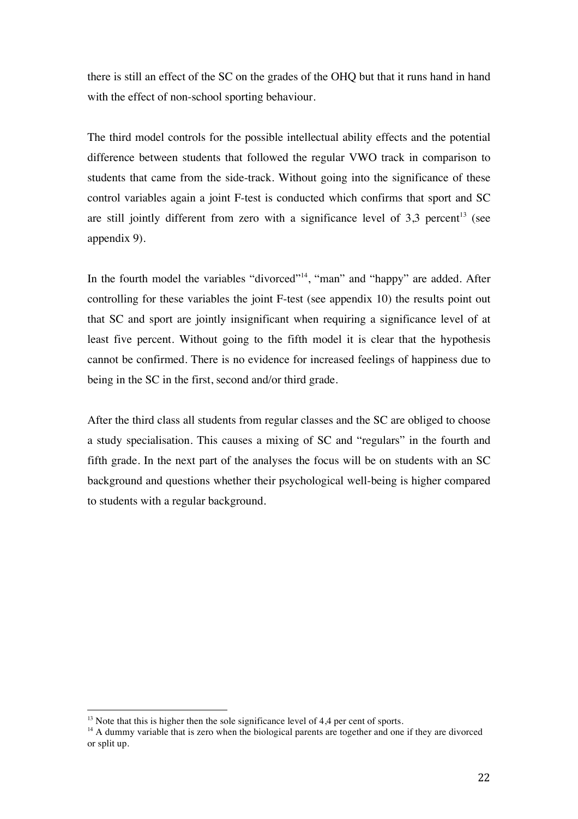there is still an effect of the SC on the grades of the OHQ but that it runs hand in hand with the effect of non-school sporting behaviour.

The third model controls for the possible intellectual ability effects and the potential difference between students that followed the regular VWO track in comparison to students that came from the side-track. Without going into the significance of these control variables again a joint F-test is conducted which confirms that sport and SC are still jointly different from zero with a significance level of  $3,3$  percent<sup>13</sup> (see appendix 9).

In the fourth model the variables "divorced"<sup>14</sup>, "man" and "happy" are added. After controlling for these variables the joint F-test (see appendix 10) the results point out that SC and sport are jointly insignificant when requiring a significance level of at least five percent. Without going to the fifth model it is clear that the hypothesis cannot be confirmed. There is no evidence for increased feelings of happiness due to being in the SC in the first, second and/or third grade.

After the third class all students from regular classes and the SC are obliged to choose a study specialisation. This causes a mixing of SC and "regulars" in the fourth and fifth grade. In the next part of the analyses the focus will be on students with an SC background and questions whether their psychological well-being is higher compared to students with a regular background.

!!!!!!!!!!!!!!!!!!!!!!!!!!!!!!!!!!!!!!!!!!!!!!!!!!!!!!!

 $13$  Note that this is higher then the sole significance level of 4,4 per cent of sports.

<sup>&</sup>lt;sup>14</sup> A dummy variable that is zero when the biological parents are together and one if they are divorced or split up.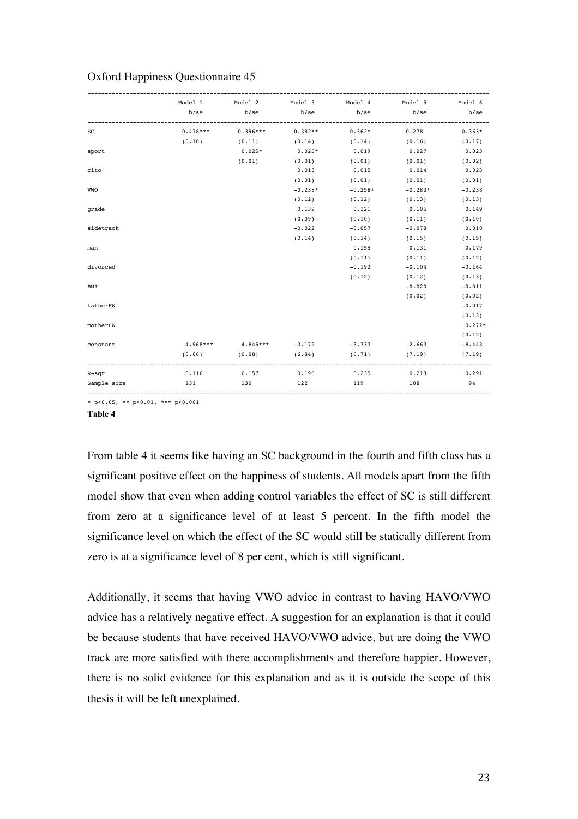|             |     |          |           |                   | Model 1 Model 2 Model 3 Model 4 Model 5 Model 6<br>b/se b/se b/se b/se b/se b/se b/se |          |
|-------------|-----|----------|-----------|-------------------|---------------------------------------------------------------------------------------|----------|
| SC          |     |          |           |                   |                                                                                       | $0.363*$ |
|             |     |          |           |                   | $(0.10)$ $(0.11)$ $(0.14)$ $(0.14)$ $(0.16)$ $(0.17)$                                 |          |
| sport       |     | $0.025*$ | $0.026*$  | 0.019             | 0.027                                                                                 | 0.023    |
|             |     | (0.01)   | (0.01)    | $(0.01)$ $(0.01)$ |                                                                                       | (0.02)   |
| cito        |     |          | 0.013     | $0.015$ 0.014     |                                                                                       | 0.023    |
|             |     |          | (0.01)    | (0.01)            | (0.01)                                                                                | (0.01)   |
| VWO         |     |          | $-0.238*$ | $-0.258*$         | $-0.283*$                                                                             | $-0.238$ |
|             |     |          | (0.12)    |                   | $(0.12)$ $(0.13)$ $(0.13)$                                                            |          |
| grade       |     |          | 0.139     | 0.121             | 0.105                                                                                 | 0.149    |
|             |     |          | (0.09)    | $(0.10)$ $(0.11)$ |                                                                                       | (0.10)   |
| sidetrack   |     |          | $-0.022$  | $-0.057$ $-0.078$ |                                                                                       | 0.018    |
|             |     |          | (0.14)    | (0.14)            | (0.15)                                                                                | (0.15)   |
| man         |     |          |           | 0.155             | 0.131                                                                                 | 0.179    |
|             |     |          |           | (0.11)            | (0.11)                                                                                | (0.12)   |
| divorced    |     |          |           | $-0.192$          | $-0.104$                                                                              | $-0.164$ |
|             |     |          |           |                   | $(0.12)$ $(0.12)$                                                                     | (0.13)   |
| BMI         |     |          |           |                   | $-0.020$                                                                              | $-0.011$ |
|             |     |          |           |                   | (0.02)                                                                                | (0.02)   |
| fatherHW    |     |          |           |                   |                                                                                       | $-0.017$ |
|             |     |          |           |                   |                                                                                       | (0.12)   |
| motherHW    |     |          |           |                   |                                                                                       | $0.272*$ |
|             |     |          |           |                   |                                                                                       | (0.12)   |
| constant    |     |          |           |                   | $4.968***$ $4.845***$ $-3.172$ $-3.733$ $-2.663$                                      | $-8.443$ |
|             |     |          |           |                   | $(0.06)$ $(0.08)$ $(6.84)$ $(6.71)$ $(7.19)$                                          | (7.19)   |
| $R - sqr$   |     |          |           |                   | $0.116$ $0.157$ $0.196$ $0.235$ $0.213$ $0.291$                                       |          |
| Sample size | 131 | 130 122  |           | 119               | 108                                                                                   | 94       |

## Oxford Happiness Questionnaire 45

\* p<0.05, \*\* p<0.01, \*\*\* p<0.001

**Table 4**

From table 4 it seems like having an SC background in the fourth and fifth class has a significant positive effect on the happiness of students. All models apart from the fifth model show that even when adding control variables the effect of SC is still different from zero at a significance level of at least 5 percent. In the fifth model the significance level on which the effect of the SC would still be statically different from zero is at a significance level of 8 per cent, which is still significant.

Additionally, it seems that having VWO advice in contrast to having HAVO/VWO advice has a relatively negative effect. A suggestion for an explanation is that it could be because students that have received HAVO/VWO advice, but are doing the VWO track are more satisfied with there accomplishments and therefore happier. However, there is no solid evidence for this explanation and as it is outside the scope of this thesis it will be left unexplained.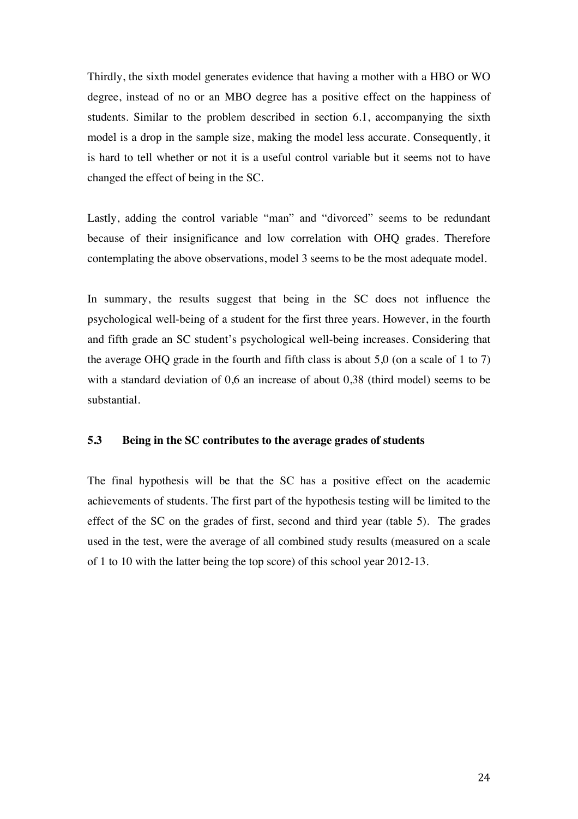Thirdly, the sixth model generates evidence that having a mother with a HBO or WO degree, instead of no or an MBO degree has a positive effect on the happiness of students. Similar to the problem described in section 6.1, accompanying the sixth model is a drop in the sample size, making the model less accurate. Consequently, it is hard to tell whether or not it is a useful control variable but it seems not to have changed the effect of being in the SC.

Lastly, adding the control variable "man" and "divorced" seems to be redundant because of their insignificance and low correlation with OHQ grades. Therefore contemplating the above observations, model 3 seems to be the most adequate model.

In summary, the results suggest that being in the SC does not influence the psychological well-being of a student for the first three years. However, in the fourth and fifth grade an SC student's psychological well-being increases. Considering that the average OHQ grade in the fourth and fifth class is about 5,0 (on a scale of 1 to 7) with a standard deviation of 0,6 an increase of about 0,38 (third model) seems to be substantial.

#### **5.3 Being in the SC contributes to the average grades of students**

The final hypothesis will be that the SC has a positive effect on the academic achievements of students. The first part of the hypothesis testing will be limited to the effect of the SC on the grades of first, second and third year (table 5). The grades used in the test, were the average of all combined study results (measured on a scale of 1 to 10 with the latter being the top score) of this school year 2012-13.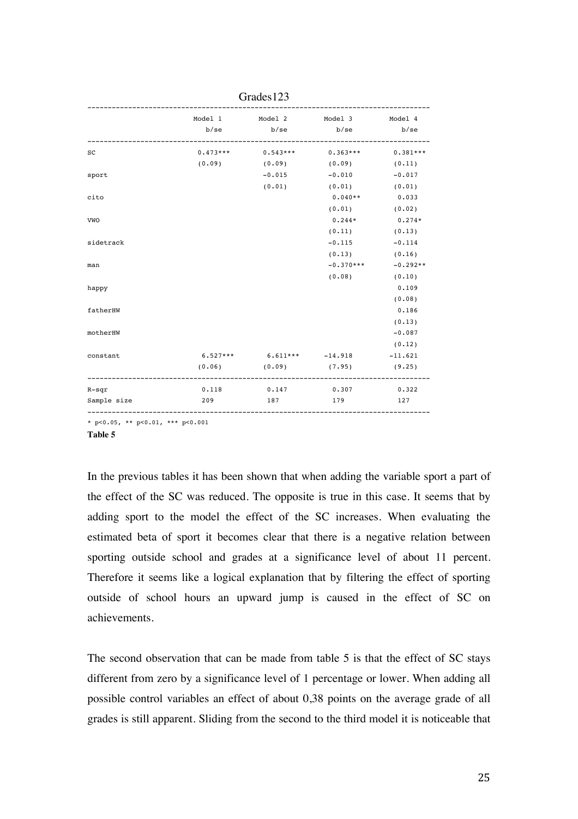|             |        |                                 | Model 1 Model 2 Model 3 Model 4  |            |
|-------------|--------|---------------------------------|----------------------------------|------------|
|             | b/se   | b/se                            | b/se                             | b/sec      |
|             |        |                                 |                                  |            |
| $_{\rm sc}$ |        |                                 | $0.473***$ $0.543***$ $0.363***$ | $0.381***$ |
|             | (0.09) | (0.09)                          | (0.09)                           | (0.11)     |
| sport       |        | $-0.015$                        | $-0.010$                         | $-0.017$   |
|             |        | (0.01)                          | (0.01)                           | (0.01)     |
| cito        |        |                                 | $0.040**$ 0.033                  |            |
|             |        |                                 | (0.01)                           | (0.02)     |
| VWO         |        |                                 | $0.244*$                         | $0.274*$   |
|             |        |                                 | (0.11)                           | (0.13)     |
| sidetrack   |        |                                 | $-0.115$                         | $-0.114$   |
|             |        |                                 | (0.13)                           | (0.16)     |
| man         |        |                                 | $-0.370***$                      | $-0.292**$ |
|             |        |                                 | (0.08)                           | (0.10)     |
| happy       |        |                                 |                                  | 0.109      |
|             |        |                                 |                                  | (0.08)     |
| fatherHW    |        |                                 |                                  | 0.186      |
|             |        |                                 |                                  | (0.13)     |
| motherHW    |        |                                 |                                  | $-0.087$   |
|             |        |                                 |                                  | (0.12)     |
| constant    |        | $6.527***$ $6.611***$ $-14.918$ |                                  | $-11.621$  |
|             | (0.06) | (0.09)                          | (7.95)                           | (9.25)     |
| $R - sqr$   | 0.118  | 0.147                           | 0.307                            | 0.322      |
| Sample size | 209    | 187                             | 179                              | 127        |
|             |        |                                 |                                  |            |

Grades123

\* p<0.05, \*\* p<0.01, \*\*\* p<0.001

**Table 5**

In the previous tables it has been shown that when adding the variable sport a part of the effect of the SC was reduced. The opposite is true in this case. It seems that by adding sport to the model the effect of the SC increases. When evaluating the estimated beta of sport it becomes clear that there is a negative relation between sporting outside school and grades at a significance level of about 11 percent. Therefore it seems like a logical explanation that by filtering the effect of sporting outside of school hours an upward jump is caused in the effect of SC on achievements.

The second observation that can be made from table 5 is that the effect of SC stays different from zero by a significance level of 1 percentage or lower. When adding all possible control variables an effect of about 0,38 points on the average grade of all grades is still apparent. Sliding from the second to the third model it is noticeable that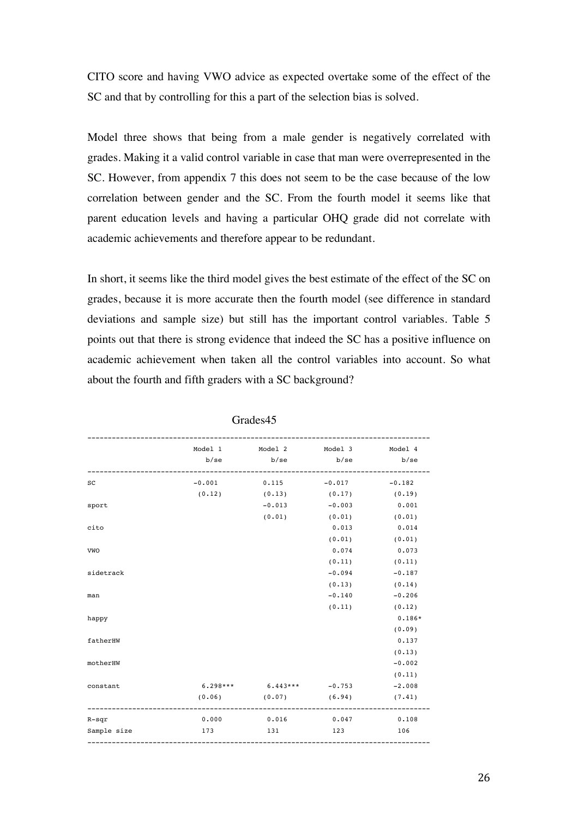CITO score and having VWO advice as expected overtake some of the effect of the SC and that by controlling for this a part of the selection bias is solved.

Model three shows that being from a male gender is negatively correlated with grades. Making it a valid control variable in case that man were overrepresented in the SC. However, from appendix 7 this does not seem to be the case because of the low correlation between gender and the SC. From the fourth model it seems like that parent education levels and having a particular OHQ grade did not correlate with academic achievements and therefore appear to be redundant.

In short, it seems like the third model gives the best estimate of the effect of the SC on grades, because it is more accurate then the fourth model (see difference in standard deviations and sample size) but still has the important control variables. Table 5 points out that there is strong evidence that indeed the SC has a positive influence on academic achievement when taken all the control variables into account. So what about the fourth and fifth graders with a SC background?

|             |       | Model 1 Model 2 Model 3 Model 4     |                   |          |
|-------------|-------|-------------------------------------|-------------------|----------|
|             |       | b/se b/se b/se                      |                   | b/se     |
| $_{\rm sc}$ |       | $-0.001$ 0.115 $-0.017$ $-0.182$    |                   |          |
|             |       | $(0.12)$ $(0.13)$ $(0.17)$ $(0.19)$ |                   |          |
| sport       |       | $-0.013$                            | $-0.003$          | 0.001    |
|             |       | (0.01)                              | $(0.01)$ $(0.01)$ |          |
| cito        |       |                                     | 0.013             | 0.014    |
|             |       |                                     | (0.01)            | (0.01)   |
| VWO         |       |                                     | 0.074             | 0.073    |
|             |       |                                     | (0.11)            | (0.11)   |
| sidetrack   |       |                                     | $-0.094$          | $-0.187$ |
|             |       |                                     | (0.13)            | (0.14)   |
| man         |       |                                     | $-0.140$          | $-0.206$ |
|             |       |                                     | (0.11)            | (0.12)   |
| happy       |       |                                     |                   | $0.186*$ |
|             |       |                                     |                   | (0.09)   |
| fatherHW    |       |                                     |                   | 0.137    |
|             |       |                                     |                   | (0.13)   |
| motherHW    |       |                                     |                   | $-0.002$ |
|             |       |                                     |                   | (0.11)   |
| constant    |       | $6.298***$ $6.443***$ $-0.753$      |                   | $-2.008$ |
|             |       | $(0.06)$ $(0.07)$ $(6.94)$          |                   | (7.41)   |
| $R$ -sqr    | 0.000 | $0.016$ $0.047$                     |                   | 0.108    |
| Sample size | 173   | 131                                 | 123               | 106      |
|             |       |                                     |                   |          |

Grades45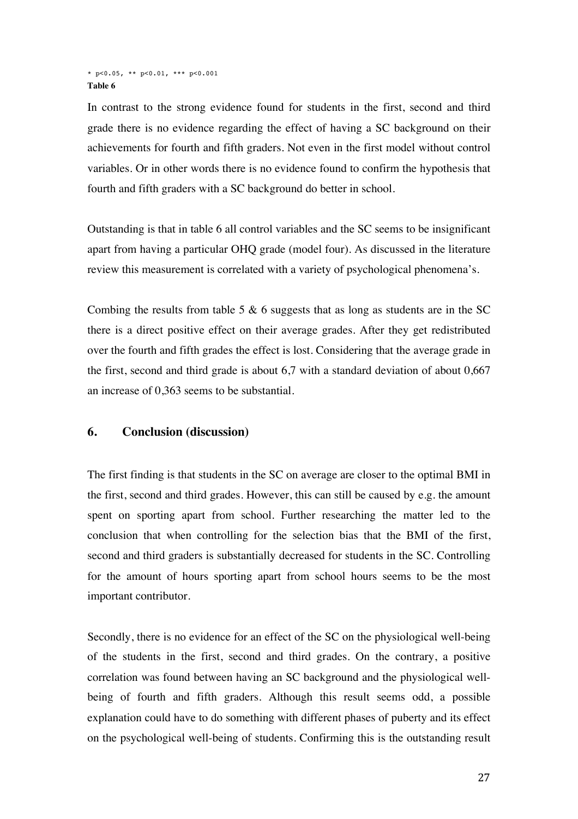#### \* p<0.05, \*\* p<0.01, \*\*\* p<0.001 **Table 6**

In contrast to the strong evidence found for students in the first, second and third grade there is no evidence regarding the effect of having a SC background on their achievements for fourth and fifth graders. Not even in the first model without control variables. Or in other words there is no evidence found to confirm the hypothesis that fourth and fifth graders with a SC background do better in school.

Outstanding is that in table 6 all control variables and the SC seems to be insignificant apart from having a particular OHQ grade (model four). As discussed in the literature review this measurement is correlated with a variety of psychological phenomena's.

Combing the results from table 5  $\&$  6 suggests that as long as students are in the SC there is a direct positive effect on their average grades. After they get redistributed over the fourth and fifth grades the effect is lost. Considering that the average grade in the first, second and third grade is about 6,7 with a standard deviation of about 0,667 an increase of 0,363 seems to be substantial.

## **6. Conclusion (discussion)**

The first finding is that students in the SC on average are closer to the optimal BMI in the first, second and third grades. However, this can still be caused by e.g. the amount spent on sporting apart from school. Further researching the matter led to the conclusion that when controlling for the selection bias that the BMI of the first, second and third graders is substantially decreased for students in the SC. Controlling for the amount of hours sporting apart from school hours seems to be the most important contributor.

Secondly, there is no evidence for an effect of the SC on the physiological well-being of the students in the first, second and third grades. On the contrary, a positive correlation was found between having an SC background and the physiological wellbeing of fourth and fifth graders. Although this result seems odd, a possible explanation could have to do something with different phases of puberty and its effect on the psychological well-being of students. Confirming this is the outstanding result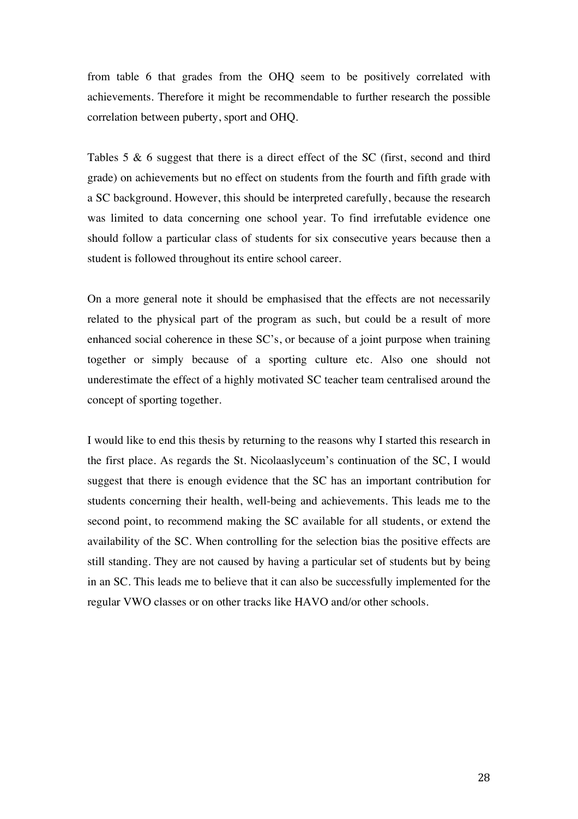from table 6 that grades from the OHQ seem to be positively correlated with achievements. Therefore it might be recommendable to further research the possible correlation between puberty, sport and OHQ.

Tables 5 & 6 suggest that there is a direct effect of the SC (first, second and third grade) on achievements but no effect on students from the fourth and fifth grade with a SC background. However, this should be interpreted carefully, because the research was limited to data concerning one school year. To find irrefutable evidence one should follow a particular class of students for six consecutive years because then a student is followed throughout its entire school career.

On a more general note it should be emphasised that the effects are not necessarily related to the physical part of the program as such, but could be a result of more enhanced social coherence in these SC's, or because of a joint purpose when training together or simply because of a sporting culture etc. Also one should not underestimate the effect of a highly motivated SC teacher team centralised around the concept of sporting together.

I would like to end this thesis by returning to the reasons why I started this research in the first place. As regards the St. Nicolaaslyceum's continuation of the SC, I would suggest that there is enough evidence that the SC has an important contribution for students concerning their health, well-being and achievements. This leads me to the second point, to recommend making the SC available for all students, or extend the availability of the SC. When controlling for the selection bias the positive effects are still standing. They are not caused by having a particular set of students but by being in an SC. This leads me to believe that it can also be successfully implemented for the regular VWO classes or on other tracks like HAVO and/or other schools.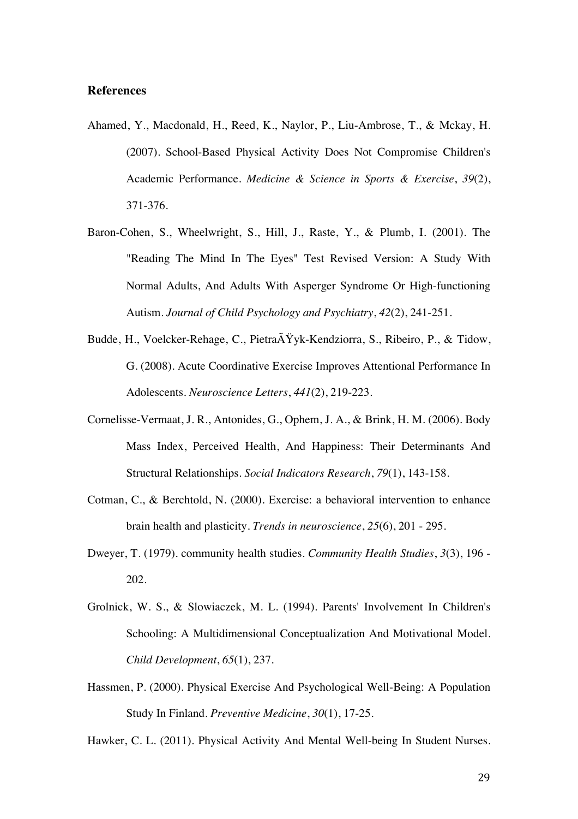#### **References**

- Ahamed, Y., Macdonald, H., Reed, K., Naylor, P., Liu-Ambrose, T., & Mckay, H. (2007). School-Based Physical Activity Does Not Compromise Children's Academic Performance. *Medicine & Science in Sports & Exercise*, *39*(2), 371-376.
- Baron-Cohen, S., Wheelwright, S., Hill, J., Raste, Y., & Plumb, I. (2001). The "Reading The Mind In The Eyes" Test Revised Version: A Study With Normal Adults, And Adults With Asperger Syndrome Or High-functioning Autism. *Journal of Child Psychology and Psychiatry*, *42*(2), 241-251.
- Budde, H., Voelcker-Rehage, C., Pietra $\tilde{A} \tilde{Y}$ yk-Kendziorra, S., Ribeiro, P., & Tidow, G. (2008). Acute Coordinative Exercise Improves Attentional Performance In Adolescents. *Neuroscience Letters*, *441*(2), 219-223.
- Cornelisse-Vermaat, J. R., Antonides, G., Ophem, J. A., & Brink, H. M. (2006). Body Mass Index, Perceived Health, And Happiness: Their Determinants And Structural Relationships. *Social Indicators Research*, *79*(1), 143-158.
- Cotman, C., & Berchtold, N. (2000). Exercise: a behavioral intervention to enhance brain health and plasticity. *Trends in neuroscience*, *25*(6), 201 - 295.
- Dweyer, T. (1979). community health studies. *Community Health Studies*, *3*(3), 196 202.
- Grolnick, W. S., & Slowiaczek, M. L. (1994). Parents' Involvement In Children's Schooling: A Multidimensional Conceptualization And Motivational Model. *Child Development*, *65*(1), 237.
- Hassmen, P. (2000). Physical Exercise And Psychological Well-Being: A Population Study In Finland. *Preventive Medicine*, *30*(1), 17-25.

Hawker, C. L. (2011). Physical Activity And Mental Well-being In Student Nurses.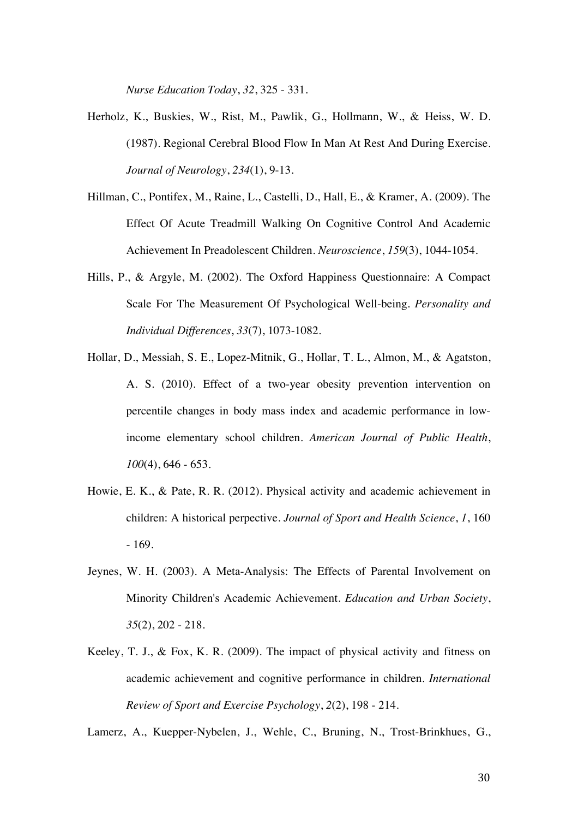*Nurse Education Today*, *32*, 325 - 331.

- Herholz, K., Buskies, W., Rist, M., Pawlik, G., Hollmann, W., & Heiss, W. D. (1987). Regional Cerebral Blood Flow In Man At Rest And During Exercise. *Journal of Neurology*, *234*(1), 9-13.
- Hillman, C., Pontifex, M., Raine, L., Castelli, D., Hall, E., & Kramer, A. (2009). The Effect Of Acute Treadmill Walking On Cognitive Control And Academic Achievement In Preadolescent Children. *Neuroscience*, *159*(3), 1044-1054.
- Hills, P., & Argyle, M. (2002). The Oxford Happiness Questionnaire: A Compact Scale For The Measurement Of Psychological Well-being. *Personality and Individual Differences*, *33*(7), 1073-1082.
- Hollar, D., Messiah, S. E., Lopez-Mitnik, G., Hollar, T. L., Almon, M., & Agatston, A. S. (2010). Effect of a two-year obesity prevention intervention on percentile changes in body mass index and academic performance in lowincome elementary school children. *American Journal of Public Health*, *100*(4), 646 - 653.
- Howie, E. K., & Pate, R. R. (2012). Physical activity and academic achievement in children: A historical perpective. *Journal of Sport and Health Science*, *1*, 160 - 169.
- Jeynes, W. H. (2003). A Meta-Analysis: The Effects of Parental Involvement on Minority Children's Academic Achievement. *Education and Urban Society*, *35*(2), 202 - 218.
- Keeley, T. J., & Fox, K. R. (2009). The impact of physical activity and fitness on academic achievement and cognitive performance in children. *International Review of Sport and Exercise Psychology*, *2*(2), 198 - 214.

Lamerz, A., Kuepper-Nybelen, J., Wehle, C., Bruning, N., Trost-Brinkhues, G.,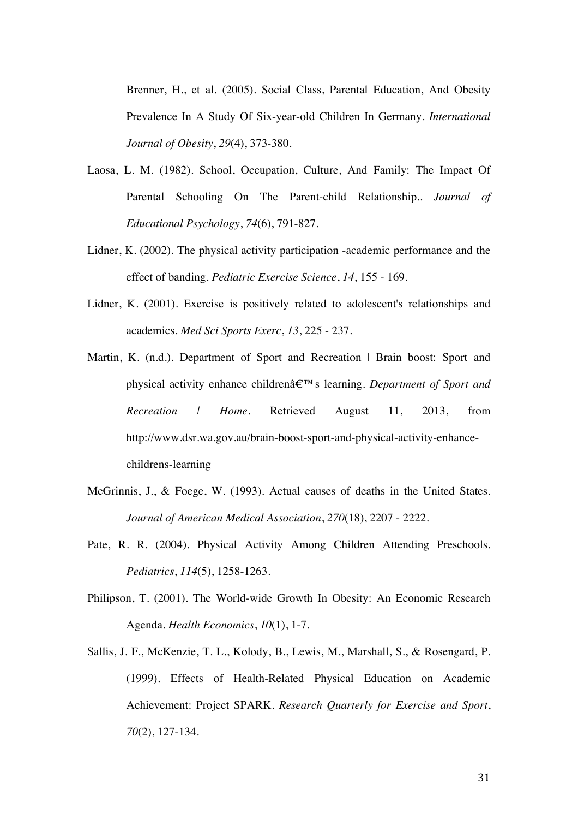Brenner, H., et al. (2005). Social Class, Parental Education, And Obesity Prevalence In A Study Of Six-year-old Children In Germany. *International Journal of Obesity*, *29*(4), 373-380.

- Laosa, L. M. (1982). School, Occupation, Culture, And Family: The Impact Of Parental Schooling On The Parent-child Relationship.. *Journal of Educational Psychology*, *74*(6), 791-827.
- Lidner, K. (2002). The physical activity participation -academic performance and the effect of banding. *Pediatric Exercise Science*, *14*, 155 - 169.
- Lidner, K. (2001). Exercise is positively related to adolescent's relationships and academics. *Med Sci Sports Exerc*, *13*, 225 - 237.
- Martin, K. (n.d.). Department of Sport and Recreation | Brain boost: Sport and physical activity enhance childrenâ€™s learning. *Department of Sport and Recreation | Home*. Retrieved August 11, 2013, from http://www.dsr.wa.gov.au/brain-boost-sport-and-physical-activity-enhancechildrens-learning
- McGrinnis, J., & Foege, W. (1993). Actual causes of deaths in the United States. *Journal of American Medical Association*, *270*(18), 2207 - 2222.
- Pate, R. R. (2004). Physical Activity Among Children Attending Preschools. *Pediatrics*, *114*(5), 1258-1263.
- Philipson, T. (2001). The World-wide Growth In Obesity: An Economic Research Agenda. *Health Economics*, *10*(1), 1-7.
- Sallis, J. F., McKenzie, T. L., Kolody, B., Lewis, M., Marshall, S., & Rosengard, P. (1999). Effects of Health-Related Physical Education on Academic Achievement: Project SPARK. *Research Quarterly for Exercise and Sport*, *70*(2), 127-134.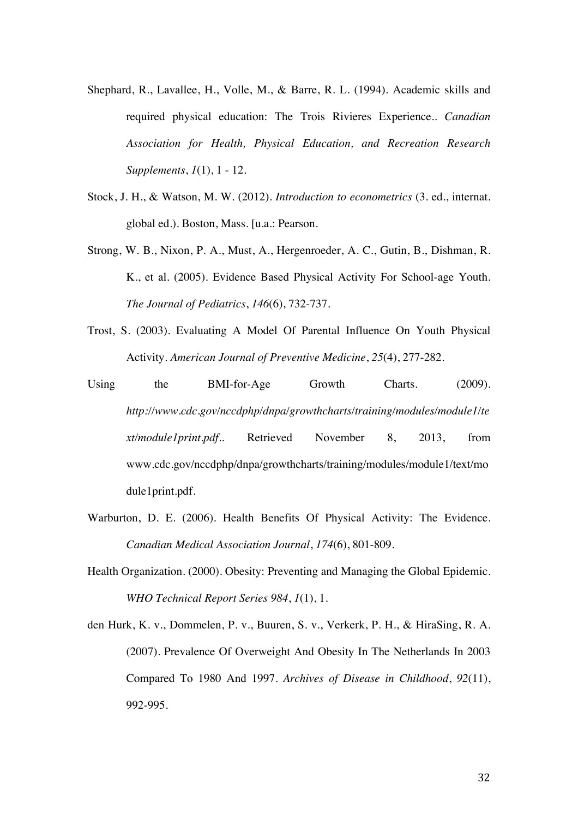- Shephard, R., Lavallee, H., Volle, M., & Barre, R. L. (1994). Academic skills and required physical education: The Trois Rivieres Experience.. *Canadian Association for Health, Physical Education, and Recreation Research Supplements*, *1*(1), 1 - 12.
- Stock, J. H., & Watson, M. W. (2012). *Introduction to econometrics* (3. ed., internat. global ed.). Boston, Mass. [u.a.: Pearson.
- Strong, W. B., Nixon, P. A., Must, A., Hergenroeder, A. C., Gutin, B., Dishman, R. K., et al. (2005). Evidence Based Physical Activity For School-age Youth. *The Journal of Pediatrics*, *146*(6), 732-737.
- Trost, S. (2003). Evaluating A Model Of Parental Influence On Youth Physical Activity. *American Journal of Preventive Medicine*, *25*(4), 277-282.
- Using the BMI-for-Age Growth Charts. (2009). *http://www.cdc.gov/nccdphp/dnpa/growthcharts/training/modules/module1/te xt/module1print.pdf.*. Retrieved November 8, 2013, from www.cdc.gov/nccdphp/dnpa/growthcharts/training/modules/module1/text/mo dule1print.pdf.
- Warburton, D. E. (2006). Health Benefits Of Physical Activity: The Evidence. *Canadian Medical Association Journal*, *174*(6), 801-809.
- Health Organization. (2000). Obesity: Preventing and Managing the Global Epidemic. *WHO Technical Report Series 984*, *1*(1), 1.
- den Hurk, K. v., Dommelen, P. v., Buuren, S. v., Verkerk, P. H., & HiraSing, R. A. (2007). Prevalence Of Overweight And Obesity In The Netherlands In 2003 Compared To 1980 And 1997. *Archives of Disease in Childhood*, *92*(11), 992-995.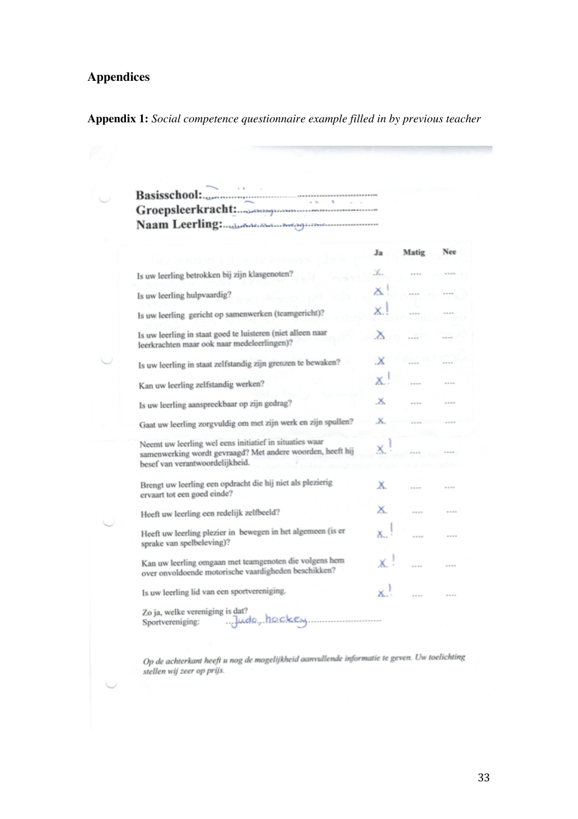# **Appendices**

## **Appendix 1:** *Social competence questionnaire example filled in by previous teacher*

 $\sim$ 

|                                                                                                                                                          | Ja  | Matig | Nee         |
|----------------------------------------------------------------------------------------------------------------------------------------------------------|-----|-------|-------------|
|                                                                                                                                                          |     |       |             |
| Is uw leerling betrokken bij zijn klasgenoten?                                                                                                           | ж.  |       |             |
| Is uw leerling hulpvaardig?                                                                                                                              | X   |       |             |
| Is uw leerling gericht op samenwerken (teamgericht)?                                                                                                     | X.  |       |             |
| Is uw leerling in staat goed te luisteren (niet alleen naar<br>leerkrachten maar ook naar medeleerlingen)?                                               | Х   |       |             |
| Is uw leerling in staat zelfstandig zijn grenzen te bewaken?                                                                                             | .X  |       |             |
| Kan uw leerling zelfstandig werken?                                                                                                                      | Х.  |       |             |
| Is uw leerling aanspreekbaar op zijn gedrag?                                                                                                             | .х. |       |             |
| Gaat uw leerling zorgvuldig om met zijn werk en zijn spullen?                                                                                            | Х.  |       |             |
| Neemt uw leerling wel eens initiatief in situaties waar<br>samenwerking wordt gevraagd? Met andere woorden, heeft hij<br>besef van verantwoordelijkheid. | X.  |       |             |
| Brengt uw leerling een opdracht die hij niet als plezierig<br>ervaart tot een goed einde?                                                                | Х.  |       |             |
| Heeft uw leerling een redelijk zelfbeeld?                                                                                                                | ×.  |       |             |
| Heeft uw leerling plezier in bewegen in het algemeen (is er<br>sprake van spelbeleving)?                                                                 |     |       | <b>DOM:</b> |
| Kan uw leerling omgaan met teamgenoten die volgens hem<br>over onvoldoende motorische vaardigheden beschikken?                                           |     |       |             |
| Is uw leerling lid van een sportvereniging.                                                                                                              |     |       | ---         |

Op de achterkant heeft u nog de mogelijkheid aanvullende informatie te geven. Uw toelichting<br>stellen wij zeer op prijs.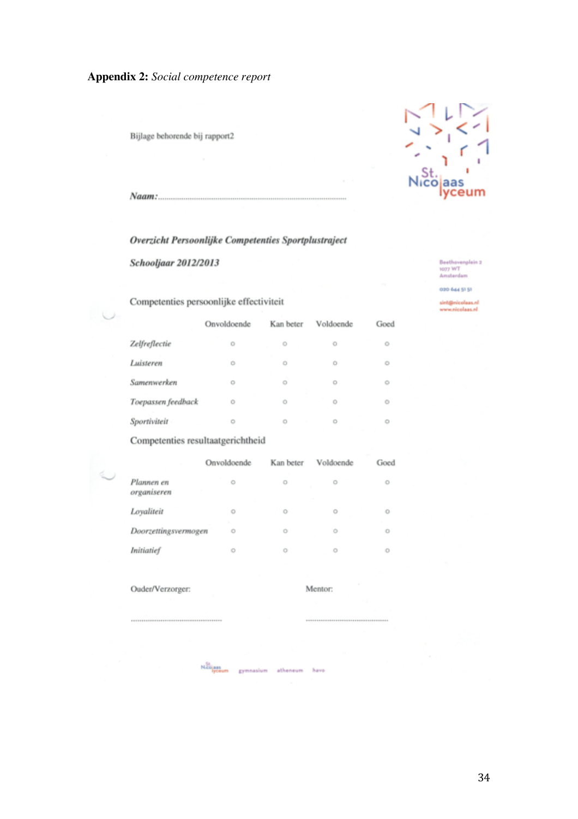## **Appendix 2:** *Social competence report*

Bijlage behorende bij rapport2



Naam:

#### Overzicht Persoonlijke Competenties Sportplustraject

Schooljaar 2012/2013

Beethovenplein 2<br>1077 WT<br>Amsterdam

020 644 51 51

sint@nicolaas.nl<br>www.nicolaas.nl

Competenties persoonlijke effectiviteit

|                    | Onvoldoende | Kan beter | Voldoende | Goed |
|--------------------|-------------|-----------|-----------|------|
| Zelfreflectie      | O           | O         | o         | O    |
| Luisteren          | Ö           | O         | Ö         | Ö    |
| Samenwerken        | O           | o         | ۰         | O    |
| Toepassen feedback | Ō           | Ō         | o         | Ö    |
| Sportiviteit       | O           | o         | Ö         | O    |

Competenties resultaatgerichtheid

|                           | Onvoldoende | Kan beter | Voldoende | Goed |
|---------------------------|-------------|-----------|-----------|------|
| Plannen en<br>organiseren | ö<br>×      | O         | O         | O    |
| Loyaliteit                | Ō           | O         | O         | O    |
| Doorzettingsvermogen      | Ö           | Ö         | $\circ$   | o    |
| <b>Initiatief</b>         | O           | O         | O         | O    |

Ouder/Verzorger:

J  $\ell$ 

Mentor:

N20<sub>lass</sub><br>Typeum gymnasium atheneum have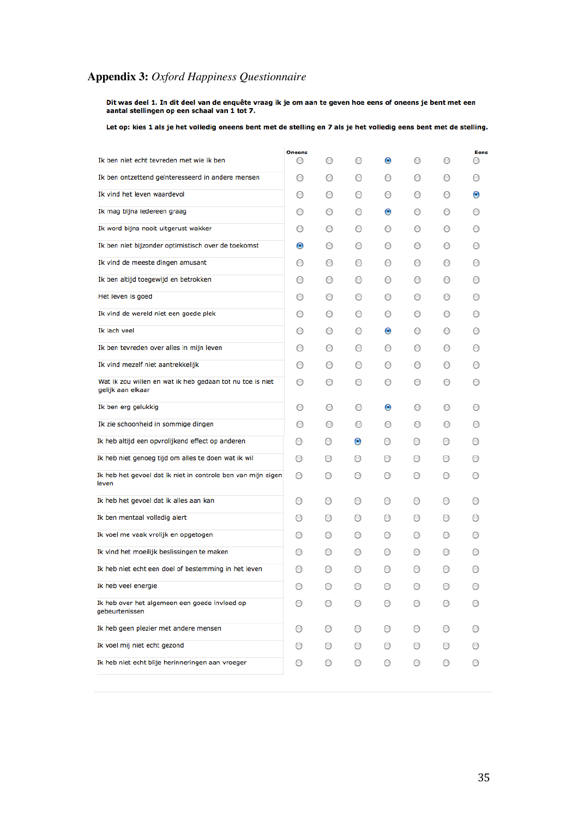## **Appendix 3:** *Oxford Happiness Questionnaire*

Dit was deel 1. In dit deel van de enquête vraag ik je om aan te geven hoe eens of oneens je bent met een<br>aantal stellingen op een schaal van 1 tot 7.

Let op: kies 1 als je het volledig oneens bent met de stelling en 7 als je het volledig eens bent met de stelling.

|                                                                                | <b>Oneens</b> |            |            |            |         |            | <b>Eens</b>      |
|--------------------------------------------------------------------------------|---------------|------------|------------|------------|---------|------------|------------------|
| Ik ben niet echt tevreden met wie ik ben                                       | 0             | O          | Ο          | $\bullet$  | Ο       | Ο          | $\bigcirc$       |
| Ik ben ontzettend geïnteresseerd in andere mensen                              | Ο             | O          | Ο          | Ο          | O       | $\bigcirc$ | O                |
| Ik vind het leven waardevol                                                    | Ο             | O          | О          | $\circ$    | О       | O          | $\bullet$        |
| Ik mag bijna iedereen graag                                                    | O             | $\circ$    | Ο          | $\odot$    | O       | $\bigcirc$ | $\circ$          |
| Ik word bijna nooit uitgerust wakker                                           | O             | $\circ$    | O          | $\bigcirc$ | O       | O          | $\circ$          |
| Ik ben niet bijzonder optimistisch over de toekomst                            | ◉             | O          | O          | $\circ$    | O       | O          | $\circ$          |
| Ik vind de meeste dingen amusant                                               | О             | O          | Ο          | Ο          | О       | O          | $\circ$          |
| Ik ben altijd toegewijd en betrokken                                           | Ο             | O          | Ο          | $\bigcirc$ | O       | Ο          | $\circ$          |
| Het leven is goed                                                              | Ο             | О          | О          | $\bigcirc$ | О       | O          | $\circ$          |
| Ik vind de wereld niet een goede plek                                          | О             | O          | O          | $\bigcirc$ | O       | $\bigcirc$ | $\left( \right)$ |
| Ik lach veel                                                                   | O             | $\circ$    | O          | $\odot$    | $\circ$ | $\circ$    | $\bigcirc$       |
| Ik ben tevreden over alles in mijn leven                                       | $\circ$       | $\circ$    | O          | $\bigcirc$ | O       | $\circ$    | $\bigcirc$       |
| Ik vind mezelf niet aantrekkelijk                                              | O             | $\circ$    | Ο          | O          | O       | O          | $\circ$          |
| Wat ik zou willen en wat ik heb gedaan tot nu toe is niet<br>gelijk aan elkaar | Ο             | Ο          | Ο          | O          | Ο       | O          | $\bigcirc$       |
| Ik ben erg gelukkig                                                            | $\circ$       | $\circ$    | O          | $\bullet$  | O       | $\circ$    | $\bigcirc$       |
| Ik zie schoonheid in sommige dingen                                            | O             | $\circ$    | Ο          | $\bigcirc$ | $\circ$ | $\circ$    | $\bigcirc$       |
| Ik heb altijd een opvrolijkend effect op anderen                               | $\bigcirc$    | $\circ$    | $\bullet$  | $\circ$    | $\circ$ | $\bigcirc$ | $\left( \right)$ |
| Ik heb niet genoeg tijd om alles te doen wat ik wil                            | $\circ$       | $\circ$    | O          | $\circ$    | O       | O          | $\bigcirc$       |
| Ik heb het gevoel dat ik niet in controle ben van mijn eigen<br>leven          | $\circ$       | O          | Ο          | O          | Ο       | Ο          | $\bigcirc$       |
| Ik heb het gevoel dat ik alles aan kan                                         | $\bigcirc$    | $\circ$    | $\circ$    | $\circ$    | O       | $\circ$    | $\bigcirc$       |
| Ik ben mentaal volledig alert                                                  | $\circ$       | $\circ$    | O          | O          | $\circ$ | $\circ$    | $\bigcirc$       |
| Ik voel me vaak vrolijk en opgetogen                                           | $\circ$       | $\circ$    | $\bigcirc$ | $\bigcirc$ | $\circ$ | O          | $\bigcirc$       |
| Ik vind het moeilijk beslissingen te maken                                     | $\circ$       | $\circ$    | $\bigcirc$ | $\circ$    | $\circ$ | $\circ$    | $\bigcirc$       |
| Ik heb niet echt een doel of bestemming in het leven                           | $\circ$       | O          | Ο          | Ο          | O       | O          | О                |
| Ik heb veel energie                                                            | О             | O          | О          | О          | O       | O          | О                |
| Ik heb over het algemeen een goede invloed op<br>gebeurtenissen                | Ο             | Ο          | O          | O          | O       | Ο          | Ο                |
| Ik heb geen plezier met andere mensen                                          | O             | $\bigcirc$ | Ο          | O          | O       | O          | $\bigcirc$       |
| Ik voel mij niet echt gezond                                                   | $\circ$       | O          | $\circ$    | $\circ$    | O       | $\circ$    | $\bigcirc$       |
| Ik heb niet echt blije herinneringen aan vroeger                               | O             | O          | O          | $\circ$    | O       | O          | О                |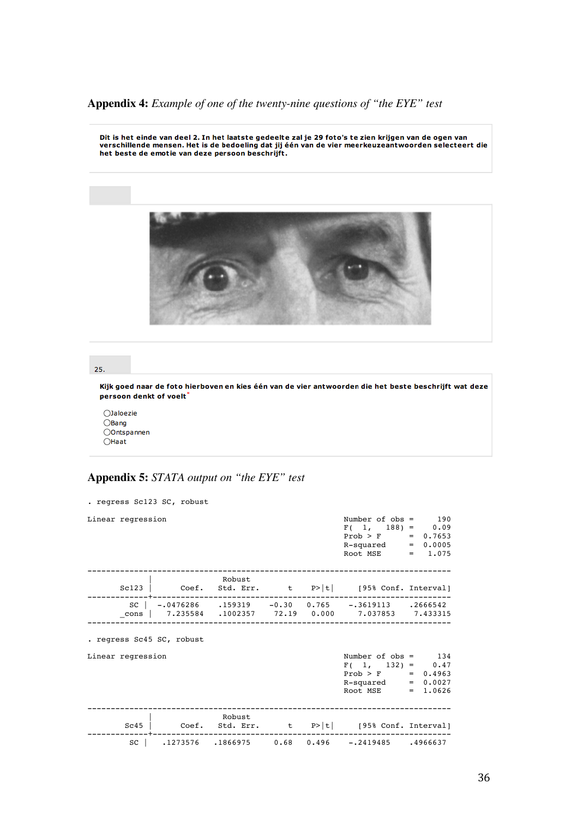## **Appendix 4:** *Example of one of the twenty-nine questions of "the EYE" test*

Dit is het einde van deel 2. In het laatste gedeelte zal je 29 foto's te zien krijgen van de ogen van<br>verschillende mensen. Het is de bedoeling dat jij één van de vier meerkeuzeantwoorden selecteert die<br>het beste de emotie



#### 25.

Kijk goed naar de foto hierboven en kies één van de vier antwoorden die het beste beschrijft wat deze persoon denkt of voelt\*

○Jaloezie OBang Oontspannen  $O$ Haat

## **Appendix 5:** *STATA output on "the EYE" test*

| . regress Sc123 SC, robust |                                                  |  |                                                                                                                               |  |  |
|----------------------------|--------------------------------------------------|--|-------------------------------------------------------------------------------------------------------------------------------|--|--|
| Linear regression          |                                                  |  | Number of $obs = 190$<br>$F(1, 188) = 0.09$<br>$Prob > F$ = 0.7653<br>$R$ -squared = $0.0005$<br>Root MSE $= 1.075$           |  |  |
|                            | Robust<br>-------------------------------------- |  | Sc123   Coef. Std. Err. t P> t  [95% Conf. Interval]                                                                          |  |  |
|                            |                                                  |  | $SC$   $-.0476286$ $.159319$ $-0.30$ $0.765$ $-.3619113$ $.2666542$<br>cons   7.235584 .1002357 72.19 0.000 7.037853 7.433315 |  |  |
| . regress Sc45 SC, robust  |                                                  |  |                                                                                                                               |  |  |
| Linear regression          |                                                  |  | Number of $obs = 134$<br>$F(1, 132) = 0.47$<br>$Prob > F$ = 0.4963<br>$R$ -squared = $0.0027$<br>Root MSE = $1.0626$          |  |  |
| Sc45                       | Robust                                           |  | Coef. Std. Err. $t$ P> t  [95% Conf. Interval]                                                                                |  |  |
| sc l                       |                                                  |  | $.1273576$ $.1866975$ $0.68$ $0.496$ $-.2419485$ $.4966637$                                                                   |  |  |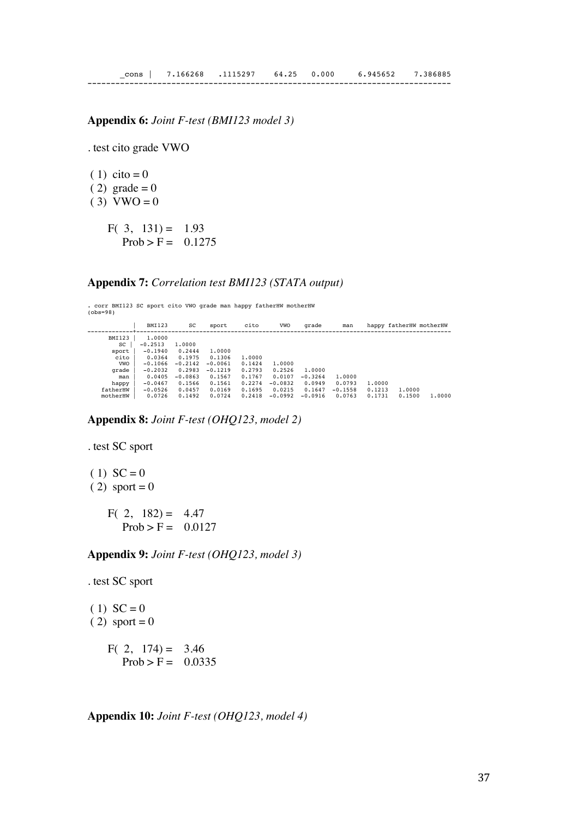#### **Appendix 6:** *Joint F-test (BMI123 model 3)*

. test cito grade VWO

 $(1)$  cito = 0  $(2)$  grade = 0  $(3)$  VWO = 0 F( 3,  $131$ ) = 1.93  $Prob > F = 0.1275$ 

#### **Appendix 7:** *Correlation test BMI123 (STATA output)*

. corr BMI123 SC sport cito VWO grade man happy fatherHW motherHW (obs=98)

| <b>BMI123</b> | SC        | sport     | cito   | VWO       | grade     | man       |        |                                             |
|---------------|-----------|-----------|--------|-----------|-----------|-----------|--------|---------------------------------------------|
| 1,0000        |           |           |        |           |           |           |        |                                             |
| $-0.2513$     | 1,0000    |           |        |           |           |           |        |                                             |
| $-0.1940$     | 0.2444    | 1,0000    |        |           |           |           |        |                                             |
| 0.0364        | 0.1975    | 0.1306    | 1,0000 |           |           |           |        |                                             |
| $-0.1066$     | $-0.2142$ | $-0.0061$ | 0.1424 | 1,0000    |           |           |        |                                             |
| $-0.2032$     | 0.2983    | $-0.1219$ | 0.2793 | 0.2526    | 1,0000    |           |        |                                             |
| 0.0405        | $-0.0863$ | 0.1567    | 0.1767 | 0.0107    | $-0.3264$ | 1,0000    |        |                                             |
| $-0.0467$     | 0.1566    | 0.1561    | 0.2274 | $-0.0832$ | 0.0949    | 0.0793    | 1,0000 |                                             |
| $-0.0526$     | 0.0457    | 0.0169    | 0.1695 | 0.0215    | 0.1647    | $-0.1558$ | 0.1213 |                                             |
| 0.0726        | 0.1492    | 0.0724    | 0.2418 | $-0.0992$ | $-0.0916$ | 0.0763    | 0.1731 | 1,0000                                      |
|               |           |           |        |           |           |           |        | happy fatherHW motherHW<br>1,0000<br>0.1500 |

**Appendix 8:** *Joint F-test (OHQ123, model 2)*

. test SC sport

 $(1) SC = 0$  $(2)$  sport = 0

> F( 2,  $182$ ) = 4.47  $Prob > F = 0.0127$

**Appendix 9:** *Joint F-test (OHQ123, model 3)*

. test SC sport

 $(1) SC = 0$  $(2)$  sport = 0 F( 2,  $174$ ) = 3.46  $Prob > F = 0.0335$ 

**Appendix 10:** *Joint F-test (OHQ123, model 4)*